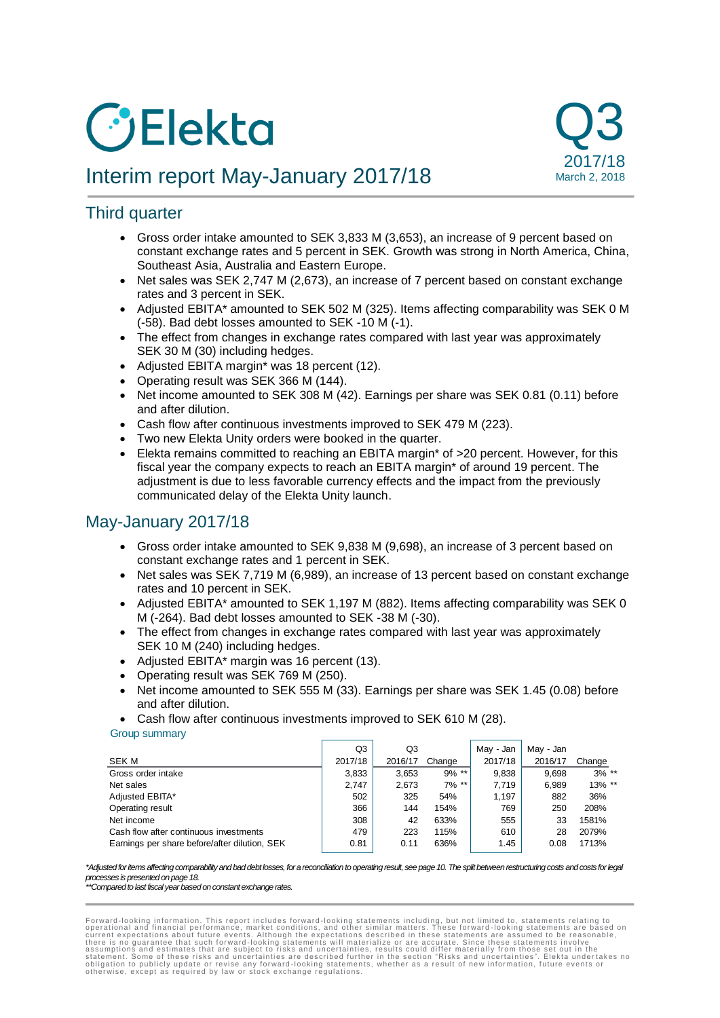# *C*Elekta





## Third quarter

- Gross order intake amounted to SEK 3,833 M (3,653), an increase of 9 percent based on constant exchange rates and 5 percent in SEK. Growth was strong in North America, China, Southeast Asia, Australia and Eastern Europe.
- Net sales was SEK 2,747 M (2,673), an increase of 7 percent based on constant exchange rates and 3 percent in SEK.
- Adjusted EBITA\* amounted to SEK 502 M (325). Items affecting comparability was SEK 0 M (-58). Bad debt losses amounted to SEK -10 M (-1).
- The effect from changes in exchange rates compared with last year was approximately SEK 30 M (30) including hedges.
- Adjusted EBITA margin\* was 18 percent (12).
- Operating result was SEK 366 M (144).
- Net income amounted to SEK 308 M (42). Earnings per share was SEK 0.81 (0.11) before and after dilution.
- Cash flow after continuous investments improved to SEK 479 M (223).
- Two new Elekta Unity orders were booked in the quarter.
- Elekta remains committed to reaching an EBITA margin\* of >20 percent. However, for this fiscal year the company expects to reach an EBITA margin\* of around 19 percent. The adjustment is due to less favorable currency effects and the impact from the previously communicated delay of the Elekta Unity launch.

## May-January 2017/18

- Gross order intake amounted to SEK 9,838 M (9,698), an increase of 3 percent based on constant exchange rates and 1 percent in SEK.
- Net sales was SEK 7,719 M (6,989), an increase of 13 percent based on constant exchange rates and 10 percent in SEK.
- Adjusted EBITA\* amounted to SEK 1,197 M (882). Items affecting comparability was SEK 0 M (-264). Bad debt losses amounted to SEK -38 M (-30).
- The effect from changes in exchange rates compared with last year was approximately SEK 10 M (240) including hedges.
- Adjusted EBITA\* margin was 16 percent (13).
- Operating result was SEK 769 M (250).
- Net income amounted to SEK 555 M (33). Earnings per share was SEK 1.45 (0.08) before and after dilution.
- Cash flow after continuous investments improved to SEK 610 M (28).

#### Group summary

|                                               | Q3      | Q3      |          | May - Jan | May - Jan |           |
|-----------------------------------------------|---------|---------|----------|-----------|-----------|-----------|
| <b>SEK M</b>                                  | 2017/18 | 2016/17 | Change   | 2017/18   | 2016/17   | Change    |
| Gross order intake                            | 3,833   | 3,653   | $9\%$ ** | 9,838     | 9.698     | $3\%$ **  |
| Net sales                                     | 2.747   | 2,673   | $7\%$ ** | 7.719     | 6,989     | $13\%$ ** |
| Adjusted EBITA*                               | 502     | 325     | 54%      | 1.197     | 882       | 36%       |
| Operating result                              | 366     | 144     | 154%     | 769       | 250       | 208%      |
| Net income                                    | 308     | 42      | 633%     | 555       | 33        | 1581%     |
| Cash flow after continuous investments        | 479     | 223     | 115%     | 610       | 28        | 2079%     |
| Earnings per share before/after dilution, SEK | 0.81    | 0.11    | 636%     | 1.45      | 0.08      | 1713%     |

#### *\*Adjusted for items affecting comparability and bad debt losses, for a reconciliation to operating result, see page 10. The split between restructuring costs and costs for legal processes is presented on page 18.*

*\*\*Compared to last fiscal year based on constant exchange rates.*

Forward-looking information. This report includes forward-looking statements including, but not limited to, statements relating to corrent expectations about future events. Although the expectations described in these stat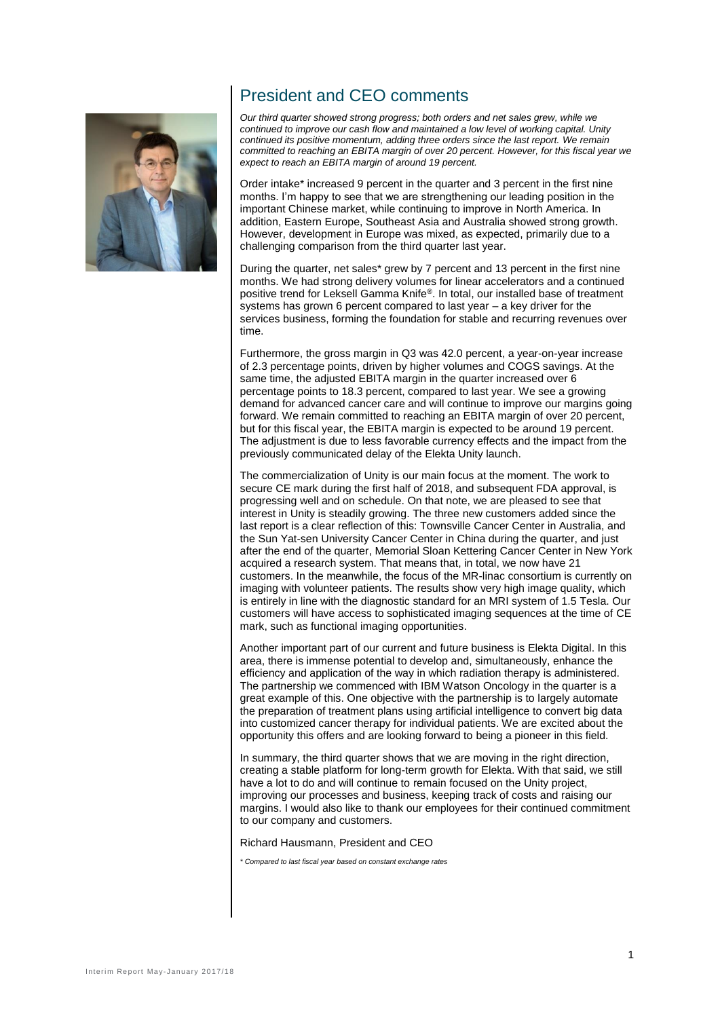

## President and CEO comments

*Our third quarter showed strong progress; both orders and net sales grew, while we continued to improve our cash flow and maintained a low level of working capital. Unity continued its positive momentum, adding three orders since the last report. We remain committed to reaching an EBITA margin of over 20 percent. However, for this fiscal year we expect to reach an EBITA margin of around 19 percent.*

Order intake\* increased 9 percent in the quarter and 3 percent in the first nine months. I'm happy to see that we are strengthening our leading position in the important Chinese market, while continuing to improve in North America. In addition, Eastern Europe, Southeast Asia and Australia showed strong growth. However, development in Europe was mixed, as expected, primarily due to a challenging comparison from the third quarter last year.

During the quarter, net sales\* grew by 7 percent and 13 percent in the first nine months. We had strong delivery volumes for linear accelerators and a continued positive trend for Leksell Gamma Knife®. In total, our installed base of treatment systems has grown 6 percent compared to last year – a key driver for the services business, forming the foundation for stable and recurring revenues over time.

Furthermore, the gross margin in Q3 was 42.0 percent, a year-on-year increase of 2.3 percentage points, driven by higher volumes and COGS savings. At the same time, the adjusted EBITA margin in the quarter increased over 6 percentage points to 18.3 percent, compared to last year. We see a growing demand for advanced cancer care and will continue to improve our margins going forward. We remain committed to reaching an EBITA margin of over 20 percent, but for this fiscal year, the EBITA margin is expected to be around 19 percent. The adjustment is due to less favorable currency effects and the impact from the previously communicated delay of the Elekta Unity launch.

The commercialization of Unity is our main focus at the moment. The work to secure CE mark during the first half of 2018, and subsequent FDA approval, is progressing well and on schedule. On that note, we are pleased to see that interest in Unity is steadily growing. The three new customers added since the last report is a clear reflection of this: Townsville Cancer Center in Australia, and the Sun Yat-sen University Cancer Center in China during the quarter, and just after the end of the quarter, Memorial Sloan Kettering Cancer Center in New York acquired a research system. That means that, in total, we now have 21 customers. In the meanwhile, the focus of the MR-linac consortium is currently on imaging with volunteer patients. The results show very high image quality, which is entirely in line with the diagnostic standard for an MRI system of 1.5 Tesla. Our customers will have access to sophisticated imaging sequences at the time of CE mark, such as functional imaging opportunities.

Another important part of our current and future business is Elekta Digital. In this area, there is immense potential to develop and, simultaneously, enhance the efficiency and application of the way in which radiation therapy is administered. The partnership we commenced with IBM Watson Oncology in the quarter is a great example of this. One objective with the partnership is to largely automate the preparation of treatment plans using artificial intelligence to convert big data into customized cancer therapy for individual patients. We are excited about the opportunity this offers and are looking forward to being a pioneer in this field.

In summary, the third quarter shows that we are moving in the right direction, creating a stable platform for long-term growth for Elekta. With that said, we still have a lot to do and will continue to remain focused on the Unity project, improving our processes and business, keeping track of costs and raising our margins. I would also like to thank our employees for their continued commitment to our company and customers.

Richard Hausmann, President and CEO

*\* Compared to last fiscal year based on constant exchange rates*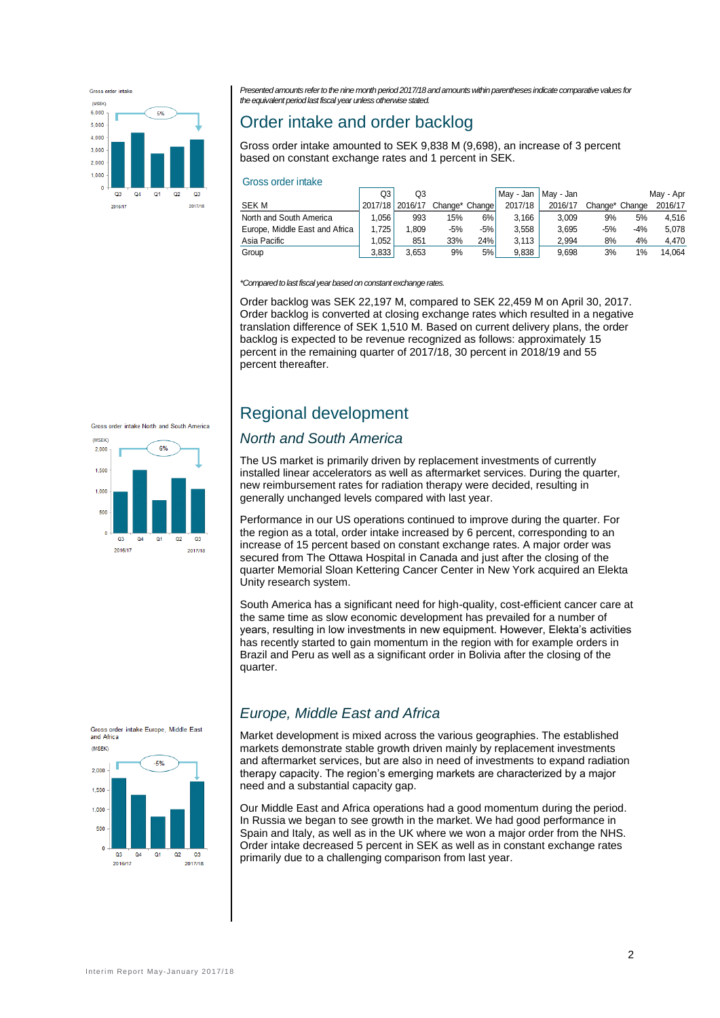

*Presented amounts refer to the nine month period 2017/18 and amounts within parentheses indicate comparative values for the equivalent period last fiscal year unless otherwise stated.*

## Order intake and order backlog

Gross order intake amounted to SEK 9,838 M (9,698), an increase of 3 percent based on constant exchange rates and 1 percent in SEK.

| Gross order intake |  |  |
|--------------------|--|--|
|                    |  |  |

| טוועווו ועגווע טטעוש           |         |         |                |       |           |           |                |       |           |  |
|--------------------------------|---------|---------|----------------|-------|-----------|-----------|----------------|-------|-----------|--|
|                                | Q3      | Q3      |                |       | May - Jan | Mav - Jan |                |       | May - Apr |  |
| <b>SEK M</b>                   | 2017/18 | 2016/17 | Change* Change |       | 2017/18   | 2016/17   | Change* Change |       | 2016/17   |  |
| North and South America        | .056    | 993     | 15%            | 6%    | 3.166     | 3.009     | 9%             | 5%    | 4.516     |  |
| Europe, Middle East and Africa | 1.725   | .809    | $-5%$          | $-5%$ | 3.558     | 3.695     | $-5%$          | $-4%$ | 5.078     |  |
| Asia Pacific                   | .052    | 851     | 33%            | 24%   | 3.113     | 2.994     | 8%             | 4%    | 4.470     |  |
| Group                          | 3,833   | 3.653   | 9%             | 5%    | 9.838     | 9.698     | 3%             | 1%    | 14.064    |  |

*\*Compared to last fiscal year based on constant exchange rates.*

Order backlog was SEK 22,197 M, compared to SEK 22,459 M on April 30, 2017. Order backlog is converted at closing exchange rates which resulted in a negative translation difference of SEK 1,510 M. Based on current delivery plans, the order backlog is expected to be revenue recognized as follows: approximately 15 percent in the remaining quarter of 2017/18, 30 percent in 2018/19 and 55 percent thereafter.

#### Gross order intake North and South America



## Regional development

#### *North and South America*

The US market is primarily driven by replacement investments of currently installed linear accelerators as well as aftermarket services. During the quarter, new reimbursement rates for radiation therapy were decided, resulting in generally unchanged levels compared with last year.

Performance in our US operations continued to improve during the quarter. For the region as a total, order intake increased by 6 percent, corresponding to an increase of 15 percent based on constant exchange rates. A major order was secured from The Ottawa Hospital in Canada and just after the closing of the quarter Memorial Sloan Kettering Cancer Center in New York acquired an Elekta Unity research system.

South America has a significant need for high-quality, cost-efficient cancer care at the same time as slow economic development has prevailed for a number of years, resulting in low investments in new equipment. However, Elekta's activities has recently started to gain momentum in the region with for example orders in Brazil and Peru as well as a significant order in Bolivia after the closing of the quarter.



## *Europe, Middle East and Africa*

Market development is mixed across the various geographies. The established markets demonstrate stable growth driven mainly by replacement investments and aftermarket services, but are also in need of investments to expand radiation therapy capacity. The region's emerging markets are characterized by a major need and a substantial capacity gap.

Our Middle East and Africa operations had a good momentum during the period. In Russia we began to see growth in the market. We had good performance in Spain and Italy, as well as in the UK where we won a major order from the NHS. Order intake decreased 5 percent in SEK as well as in constant exchange rates primarily due to a challenging comparison from last year.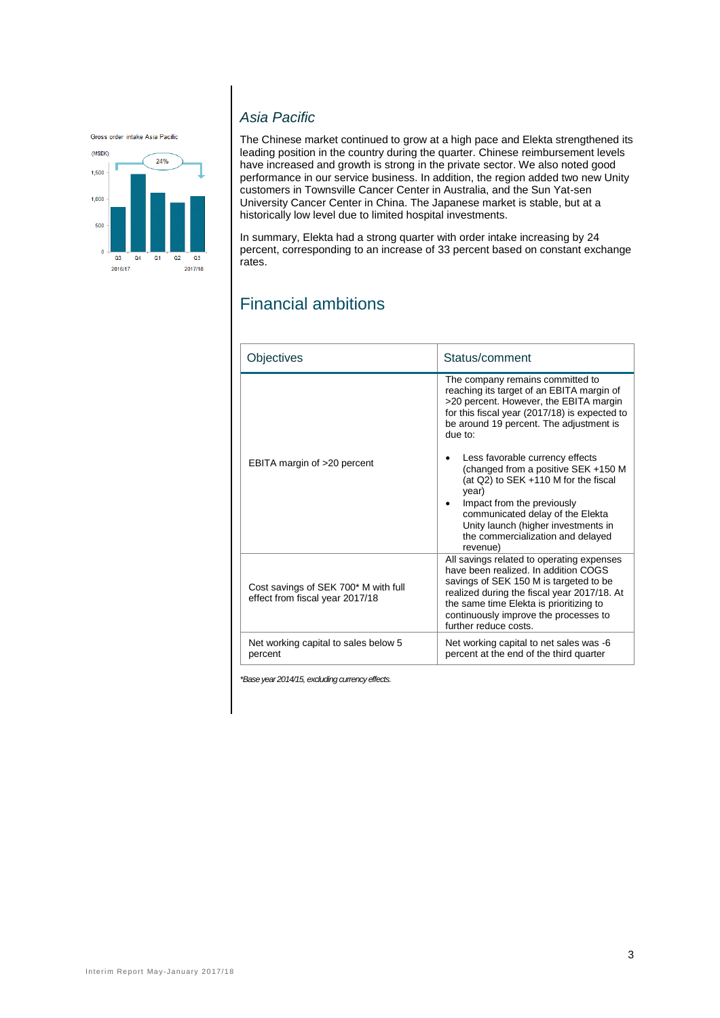Gross order intake Asia Pacific



## *Asia Pacific*

The Chinese market continued to grow at a high pace and Elekta strengthened its leading position in the country during the quarter. Chinese reimbursement levels have increased and growth is strong in the private sector. We also noted good performance in our service business. In addition, the region added two new Unity customers in Townsville Cancer Center in Australia, and the Sun Yat-sen University Cancer Center in China. The Japanese market is stable, but at a historically low level due to limited hospital investments.

In summary, Elekta had a strong quarter with order intake increasing by 24 percent, corresponding to an increase of 33 percent based on constant exchange rates.

## Financial ambitions

| Objectives                                                              | Status/comment                                                                                                                                                                                                                                                                          |
|-------------------------------------------------------------------------|-----------------------------------------------------------------------------------------------------------------------------------------------------------------------------------------------------------------------------------------------------------------------------------------|
|                                                                         | The company remains committed to<br>reaching its target of an EBITA margin of<br>>20 percent. However, the EBITA margin<br>for this fiscal year (2017/18) is expected to<br>be around 19 percent. The adjustment is<br>due to:                                                          |
| EBITA margin of >20 percent                                             | Less favorable currency effects<br>(changed from a positive SEK +150 M<br>(at Q2) to SEK +110 M for the fiscal<br>year)<br>Impact from the previously<br>communicated delay of the Elekta<br>Unity launch (higher investments in<br>the commercialization and delayed<br>revenue)       |
| Cost savings of SEK 700* M with full<br>effect from fiscal year 2017/18 | All savings related to operating expenses<br>have been realized. In addition COGS<br>savings of SEK 150 M is targeted to be<br>realized during the fiscal year 2017/18. At<br>the same time Elekta is prioritizing to<br>continuously improve the processes to<br>further reduce costs. |
| Net working capital to sales below 5<br>percent                         | Net working capital to net sales was -6<br>percent at the end of the third quarter                                                                                                                                                                                                      |

*\*Base year 2014/15, excluding currency effects.*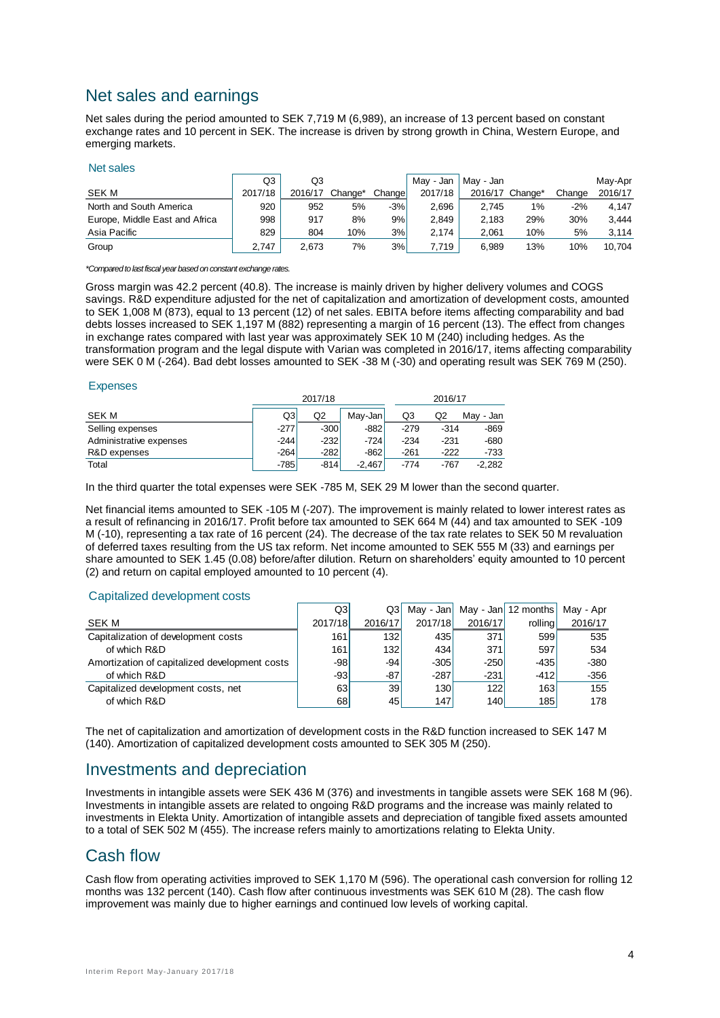## Net sales and earnings

Net sales during the period amounted to SEK 7,719 M (6,989), an increase of 13 percent based on constant exchange rates and 10 percent in SEK. The increase is driven by strong growth in China, Western Europe, and emerging markets.

#### Net sales

|                                | Q3      | Q3      |         |         | Mav - Jan | May - Jan       |     |        | Mav-Apr |
|--------------------------------|---------|---------|---------|---------|-----------|-----------------|-----|--------|---------|
| <b>SEK M</b>                   | 2017/18 | 2016/17 | Change* | Changel | 2017/18   | 2016/17 Change* |     | Change | 2016/17 |
| North and South America        | 920     | 952     | 5%      | $-3%$   | 2.696     | 2.745           | 1%  | $-2%$  | 4.147   |
| Europe, Middle East and Africa | 998     | 917     | 8%      | 9%1     | 2.849     | 2.183           | 29% | 30%    | 3.444   |
| Asia Pacific                   | 829     | 804     | 10%     | 3%      | 2.174     | 2.061           | 10% | 5%     | 3.114   |
| Group                          | 2.747   | 2.673   | 7%      | 3%      | 7.719     | 6.989           | 13% | 10%    | 10.704  |

#### *\*Compared to last fiscal year based on constant exchange rates.*

Gross margin was 42.2 percent (40.8). The increase is mainly driven by higher delivery volumes and COGS savings. R&D expenditure adjusted for the net of capitalization and amortization of development costs, amounted to SEK 1,008 M (873), equal to 13 percent (12) of net sales. EBITA before items affecting comparability and bad debts losses increased to SEK 1,197 M (882) representing a margin of 16 percent (13). The effect from changes in exchange rates compared with last year was approximately SEK 10 M (240) including hedges. As the transformation program and the legal dispute with Varian was completed in 2016/17, items affecting comparability were SEK 0 M (-264). Bad debt losses amounted to SEK -38 M (-30) and operating result was SEK 769 M (250).

#### Expenses

|                         |        | 2017/18 |          |        | 2016/17 |           |  |
|-------------------------|--------|---------|----------|--------|---------|-----------|--|
| SEK M                   | Q3     | Q2      | Mav-Jan  | Q3     | Q2      | May - Jan |  |
| Selling expenses        | -2771  | $-300$  | $-882$   | $-279$ | $-314$  | $-869$    |  |
| Administrative expenses | $-244$ | $-232$  | $-724$   | $-234$ | $-231$  | $-680$    |  |
| R&D expenses            | $-264$ | $-282$  | $-862$   | $-261$ | $-222$  | $-733$    |  |
| Total                   | -7851  | $-814$  | $-2.467$ | $-774$ | -767    | $-2.282$  |  |

In the third quarter the total expenses were SEK -785 M, SEK 29 M lower than the second quarter.

Net financial items amounted to SEK -105 M (-207). The improvement is mainly related to lower interest rates as a result of refinancing in 2016/17. Profit before tax amounted to SEK 664 M (44) and tax amounted to SEK -109 M (-10), representing a tax rate of 16 percent (24). The decrease of the tax rate relates to SEK 50 M revaluation of deferred taxes resulting from the US tax reform. Net income amounted to SEK 555 M (33) and earnings per share amounted to SEK 1.45 (0.08) before/after dilution. Return on shareholders' equity amounted to 10 percent (2) and return on capital employed amounted to 10 percent (4).

#### Capitalized development costs

|                                               | Q3      | Q3I              |         |         | May - Jan $\vert$ May - Jan 12 months | Mav - Apr |
|-----------------------------------------------|---------|------------------|---------|---------|---------------------------------------|-----------|
| SEK M                                         | 2017/18 | 2016/17          | 2017/18 | 2016/17 | rolling                               | 2016/17   |
| Capitalization of development costs           | 161     | 132 <sub>l</sub> | 435     | 371     | 599                                   | 535       |
| of which R&D                                  | 161     | 132              | 434     | 371     | 597                                   | 534       |
| Amortization of capitalized development costs | $-98$   | $-94$            | $-305$  | $-250$  | $-435$                                | $-380$    |
| of which R&D                                  | $-93$   | -87              | $-287$  | $-231$  | $-412$                                | $-356$    |
| Capitalized development costs, net            | 63      | 39               | 130     | 122     | 163                                   | 155       |
| of which R&D                                  | 68      | 451              | 147     | 140     | 185                                   | 178       |

The net of capitalization and amortization of development costs in the R&D function increased to SEK 147 M (140). Amortization of capitalized development costs amounted to SEK 305 M (250).

## Investments and depreciation

Investments in intangible assets were SEK 436 M (376) and investments in tangible assets were SEK 168 M (96). Investments in intangible assets are related to ongoing R&D programs and the increase was mainly related to investments in Elekta Unity. Amortization of intangible assets and depreciation of tangible fixed assets amounted to a total of SEK 502 M (455). The increase refers mainly to amortizations relating to Elekta Unity.

## Cash flow

Cash flow from operating activities improved to SEK 1,170 M (596). The operational cash conversion for rolling 12 months was 132 percent (140). Cash flow after continuous investments was SEK 610 M (28). The cash flow improvement was mainly due to higher earnings and continued low levels of working capital.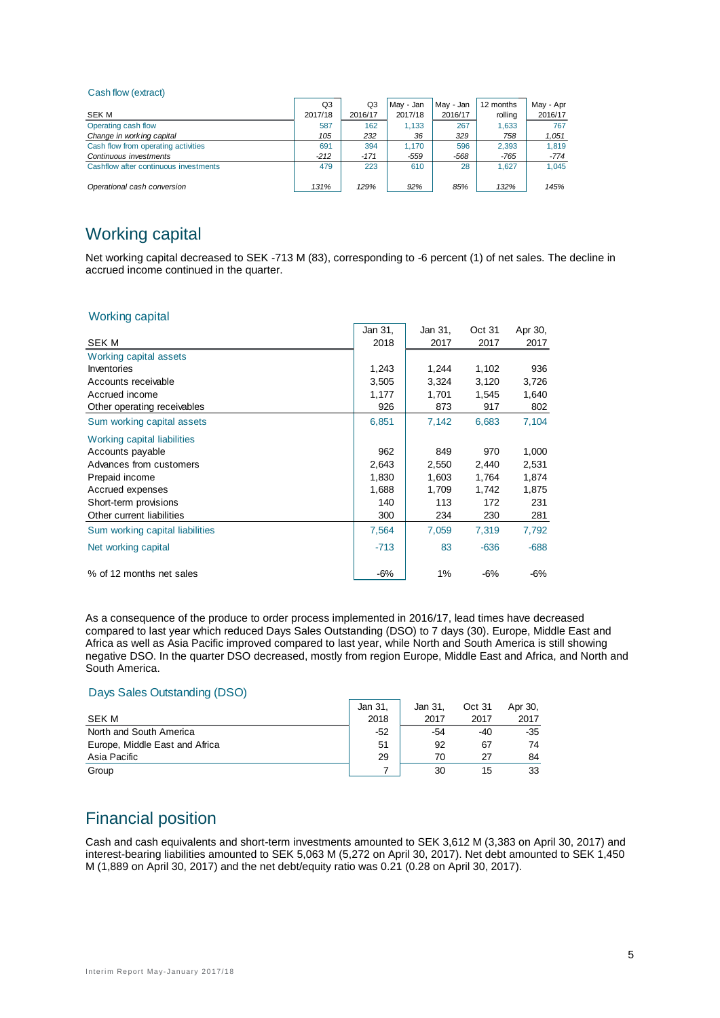#### Cash flow (extract)

|                                       | Q3      | Q3      | Mav - Jan | May - Jan | 12 months | May - Apr |
|---------------------------------------|---------|---------|-----------|-----------|-----------|-----------|
| SEK M                                 | 2017/18 | 2016/17 | 2017/18   | 2016/17   | rolling   | 2016/17   |
| Operating cash flow                   | 587     | 162     | 1.133     | 267       | 1,633     | 767       |
| Change in working capital             | 105     | 232     | 36        | 329       | 758       | 1,051     |
| Cash flow from operating activities   | 691     | 394     | 1.170     | 596       | 2.393     | 1.819     |
| Continuous investments                | $-212$  | $-171$  | $-559$    | $-568$    | $-765$    | -774      |
| Cashflow after continuous investments | 479     | 223     | 610       | 28        | 1.627     | 1.045     |
|                                       |         |         |           |           |           |           |
| Operational cash conversion           | 131%    | 129%    | 92%       | 85%       | 132%      | 145%      |

## Working capital

Net working capital decreased to SEK -713 M (83), corresponding to -6 percent (1) of net sales. The decline in accrued income continued in the quarter.

## Working capital

|                                 | Jan 31, | Jan 31, | Oct 31 | Apr 30, |
|---------------------------------|---------|---------|--------|---------|
| <b>SEK M</b>                    | 2018    | 2017    | 2017   | 2017    |
| Working capital assets          |         |         |        |         |
| Inventories                     | 1,243   | 1,244   | 1,102  | 936     |
| Accounts receivable             | 3,505   | 3,324   | 3,120  | 3,726   |
| Accrued income                  | 1,177   | 1,701   | 1,545  | 1,640   |
| Other operating receivables     | 926     | 873     | 917    | 802     |
| Sum working capital assets      | 6,851   | 7,142   | 6,683  | 7,104   |
| Working capital liabilities     |         |         |        |         |
| Accounts payable                | 962     | 849     | 970    | 1,000   |
| Advances from customers         | 2,643   | 2,550   | 2,440  | 2,531   |
| Prepaid income                  | 1,830   | 1,603   | 1,764  | 1,874   |
| Accrued expenses                | 1,688   | 1,709   | 1,742  | 1,875   |
| Short-term provisions           | 140     | 113     | 172    | 231     |
| Other current liabilities       | 300     | 234     | 230    | 281     |
| Sum working capital liabilities | 7,564   | 7,059   | 7,319  | 7,792   |
| Net working capital             | $-713$  | 83      | $-636$ | $-688$  |
| % of 12 months net sales        | $-6%$   | 1%      | $-6%$  | $-6%$   |

As a consequence of the produce to order process implemented in 2016/17, lead times have decreased compared to last year which reduced Days Sales Outstanding (DSO) to 7 days (30). Europe, Middle East and Africa as well as Asia Pacific improved compared to last year, while North and South America is still showing negative DSO. In the quarter DSO decreased, mostly from region Europe, Middle East and Africa, and North and South America.

#### Days Sales Outstanding (DSO)

|                                | Jan 31. | Jan 31. | Oct 31 | Apr 30, |
|--------------------------------|---------|---------|--------|---------|
| SEK M                          | 2018    | 2017    | 2017   | 2017    |
| North and South America        | $-52$   | -54     | -40    | $-35$   |
| Europe, Middle East and Africa | 51      | 92      | 67     | 74      |
| Asia Pacific                   | 29      | 70      | 27     | 84      |
| Group                          |         | 30      | 15     | 33      |

## Financial position

Cash and cash equivalents and short-term investments amounted to SEK 3,612 M (3,383 on April 30, 2017) and interest-bearing liabilities amounted to SEK 5,063 M (5,272 on April 30, 2017). Net debt amounted to SEK 1,450 M (1,889 on April 30, 2017) and the net debt/equity ratio was 0.21 (0.28 on April 30, 2017).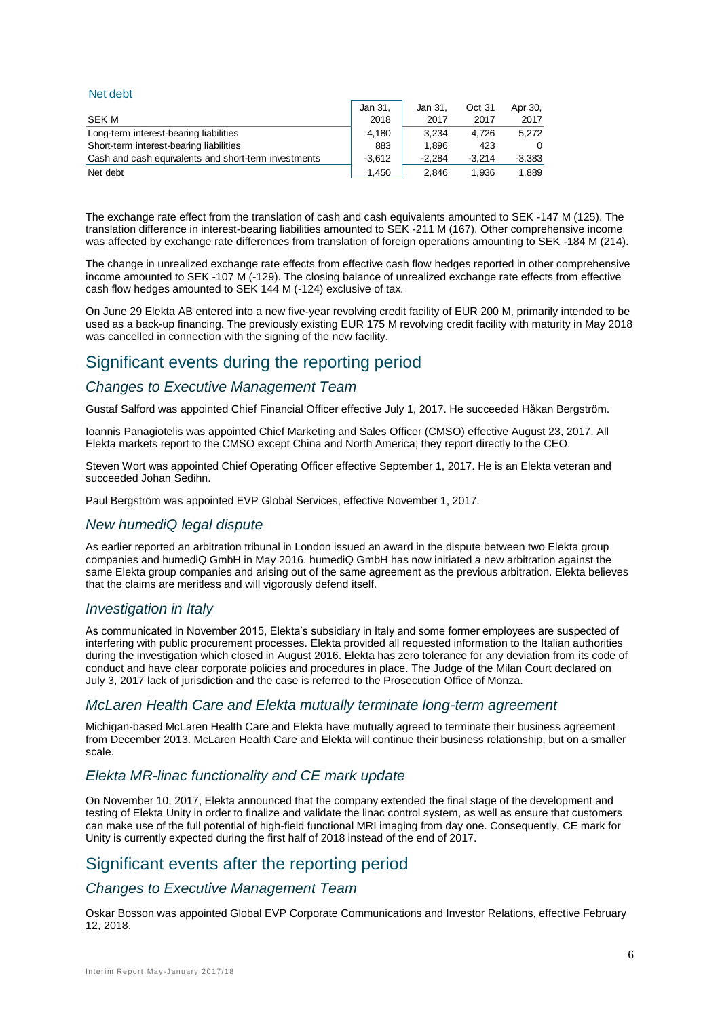#### Net debt

|                                                      | Jan 31.  | Jan 31.  | Oct 31   | Apr 30.  |
|------------------------------------------------------|----------|----------|----------|----------|
| SEK M                                                | 2018     | 2017     | 2017     | 2017     |
| Long-term interest-bearing liabilities               | 4.180    | 3.234    | 4.726    | 5.272    |
| Short-term interest-bearing liabilities              | 883      | 1.896    | 423      | 0        |
| Cash and cash equivalents and short-term investments | $-3.612$ | $-2.284$ | $-3.214$ | $-3.383$ |
| Net debt                                             | 1.450    | 2.846    | 1.936    | 1.889    |

The exchange rate effect from the translation of cash and cash equivalents amounted to SEK -147 M (125). The translation difference in interest-bearing liabilities amounted to SEK -211 M (167). Other comprehensive income was affected by exchange rate differences from translation of foreign operations amounting to SEK -184 M (214).

The change in unrealized exchange rate effects from effective cash flow hedges reported in other comprehensive income amounted to SEK -107 M (-129). The closing balance of unrealized exchange rate effects from effective cash flow hedges amounted to SEK 144 M (-124) exclusive of tax.

On June 29 Elekta AB entered into a new five-year revolving credit facility of EUR 200 M, primarily intended to be used as a back-up financing. The previously existing EUR 175 M revolving credit facility with maturity in May 2018 was cancelled in connection with the signing of the new facility.

## Significant events during the reporting period

## *Changes to Executive Management Team*

Gustaf Salford was appointed Chief Financial Officer effective July 1, 2017. He succeeded Håkan Bergström.

Ioannis Panagiotelis was appointed Chief Marketing and Sales Officer (CMSO) effective August 23, 2017. All Elekta markets report to the CMSO except China and North America; they report directly to the CEO.

Steven Wort was appointed Chief Operating Officer effective September 1, 2017. He is an Elekta veteran and succeeded Johan Sedihn.

Paul Bergström was appointed EVP Global Services, effective November 1, 2017.

#### *New humediQ legal dispute*

As earlier reported an arbitration tribunal in London issued an award in the dispute between two Elekta group companies and humediQ GmbH in May 2016. humediQ GmbH has now initiated a new arbitration against the same Elekta group companies and arising out of the same agreement as the previous arbitration. Elekta believes that the claims are meritless and will vigorously defend itself.

#### *Investigation in Italy*

As communicated in November 2015, Elekta's subsidiary in Italy and some former employees are suspected of interfering with public procurement processes. Elekta provided all requested information to the Italian authorities during the investigation which closed in August 2016. Elekta has zero tolerance for any deviation from its code of conduct and have clear corporate policies and procedures in place. The Judge of the Milan Court declared on July 3, 2017 lack of jurisdiction and the case is referred to the Prosecution Office of Monza.

#### *McLaren Health Care and Elekta mutually terminate long-term agreement*

Michigan-based McLaren Health Care and Elekta have mutually agreed to terminate their business agreement from December 2013. McLaren Health Care and Elekta will continue their business relationship, but on a smaller scale.

## *Elekta MR-linac functionality and CE mark update*

On November 10, 2017, Elekta announced that the company extended the final stage of the development and testing of Elekta Unity in order to finalize and validate the linac control system, as well as ensure that customers can make use of the full potential of high-field functional MRI imaging from day one. Consequently, CE mark for Unity is currently expected during the first half of 2018 instead of the end of 2017.

## Significant events after the reporting period

#### *Changes to Executive Management Team*

Oskar Bosson was appointed Global EVP Corporate Communications and Investor Relations, effective February 12, 2018.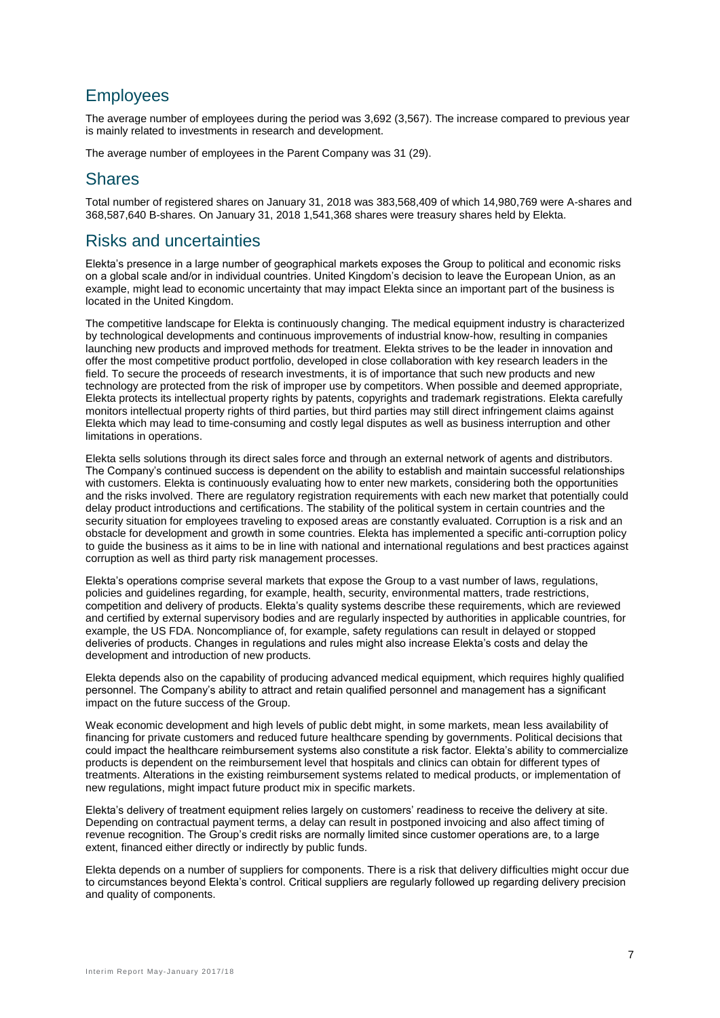## **Employees**

The average number of employees during the period was 3,692 (3,567). The increase compared to previous year is mainly related to investments in research and development.

The average number of employees in the Parent Company was 31 (29).

## **Shares**

Total number of registered shares on January 31, 2018 was 383,568,409 of which 14,980,769 were A-shares and 368,587,640 B-shares. On January 31, 2018 1,541,368 shares were treasury shares held by Elekta.

## Risks and uncertainties

Elekta's presence in a large number of geographical markets exposes the Group to political and economic risks on a global scale and/or in individual countries. United Kingdom's decision to leave the European Union, as an example, might lead to economic uncertainty that may impact Elekta since an important part of the business is located in the United Kingdom.

The competitive landscape for Elekta is continuously changing. The medical equipment industry is characterized by technological developments and continuous improvements of industrial know-how, resulting in companies launching new products and improved methods for treatment. Elekta strives to be the leader in innovation and offer the most competitive product portfolio, developed in close collaboration with key research leaders in the field. To secure the proceeds of research investments, it is of importance that such new products and new technology are protected from the risk of improper use by competitors. When possible and deemed appropriate, Elekta protects its intellectual property rights by patents, copyrights and trademark registrations. Elekta carefully monitors intellectual property rights of third parties, but third parties may still direct infringement claims against Elekta which may lead to time-consuming and costly legal disputes as well as business interruption and other limitations in operations.

Elekta sells solutions through its direct sales force and through an external network of agents and distributors. The Company's continued success is dependent on the ability to establish and maintain successful relationships with customers. Elekta is continuously evaluating how to enter new markets, considering both the opportunities and the risks involved. There are regulatory registration requirements with each new market that potentially could delay product introductions and certifications. The stability of the political system in certain countries and the security situation for employees traveling to exposed areas are constantly evaluated. Corruption is a risk and an obstacle for development and growth in some countries. Elekta has implemented a specific anti-corruption policy to guide the business as it aims to be in line with national and international regulations and best practices against corruption as well as third party risk management processes.

Elekta's operations comprise several markets that expose the Group to a vast number of laws, regulations, policies and guidelines regarding, for example, health, security, environmental matters, trade restrictions, competition and delivery of products. Elekta's quality systems describe these requirements, which are reviewed and certified by external supervisory bodies and are regularly inspected by authorities in applicable countries, for example, the US FDA. Noncompliance of, for example, safety regulations can result in delayed or stopped deliveries of products. Changes in regulations and rules might also increase Elekta's costs and delay the development and introduction of new products.

Elekta depends also on the capability of producing advanced medical equipment, which requires highly qualified personnel. The Company's ability to attract and retain qualified personnel and management has a significant impact on the future success of the Group.

Weak economic development and high levels of public debt might, in some markets, mean less availability of financing for private customers and reduced future healthcare spending by governments. Political decisions that could impact the healthcare reimbursement systems also constitute a risk factor. Elekta's ability to commercialize products is dependent on the reimbursement level that hospitals and clinics can obtain for different types of treatments. Alterations in the existing reimbursement systems related to medical products, or implementation of new regulations, might impact future product mix in specific markets.

Elekta's delivery of treatment equipment relies largely on customers' readiness to receive the delivery at site. Depending on contractual payment terms, a delay can result in postponed invoicing and also affect timing of revenue recognition. The Group's credit risks are normally limited since customer operations are, to a large extent, financed either directly or indirectly by public funds.

Elekta depends on a number of suppliers for components. There is a risk that delivery difficulties might occur due to circumstances beyond Elekta's control. Critical suppliers are regularly followed up regarding delivery precision and quality of components.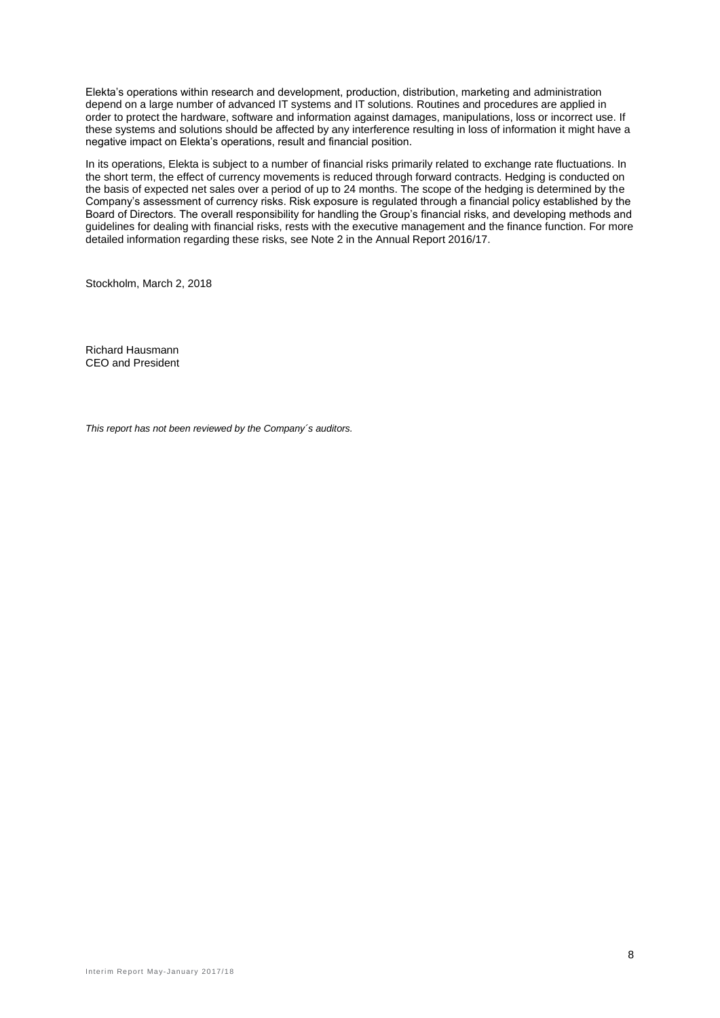Elekta's operations within research and development, production, distribution, marketing and administration depend on a large number of advanced IT systems and IT solutions. Routines and procedures are applied in order to protect the hardware, software and information against damages, manipulations, loss or incorrect use. If these systems and solutions should be affected by any interference resulting in loss of information it might have a negative impact on Elekta's operations, result and financial position.

In its operations, Elekta is subject to a number of financial risks primarily related to exchange rate fluctuations. In the short term, the effect of currency movements is reduced through forward contracts. Hedging is conducted on the basis of expected net sales over a period of up to 24 months. The scope of the hedging is determined by the Company's assessment of currency risks. Risk exposure is regulated through a financial policy established by the Board of Directors. The overall responsibility for handling the Group's financial risks, and developing methods and guidelines for dealing with financial risks, rests with the executive management and the finance function. For more detailed information regarding these risks, see Note 2 in the Annual Report 2016/17.

Stockholm, March 2, 2018

Richard Hausmann CEO and President

*This report has not been reviewed by the Company´s auditors.*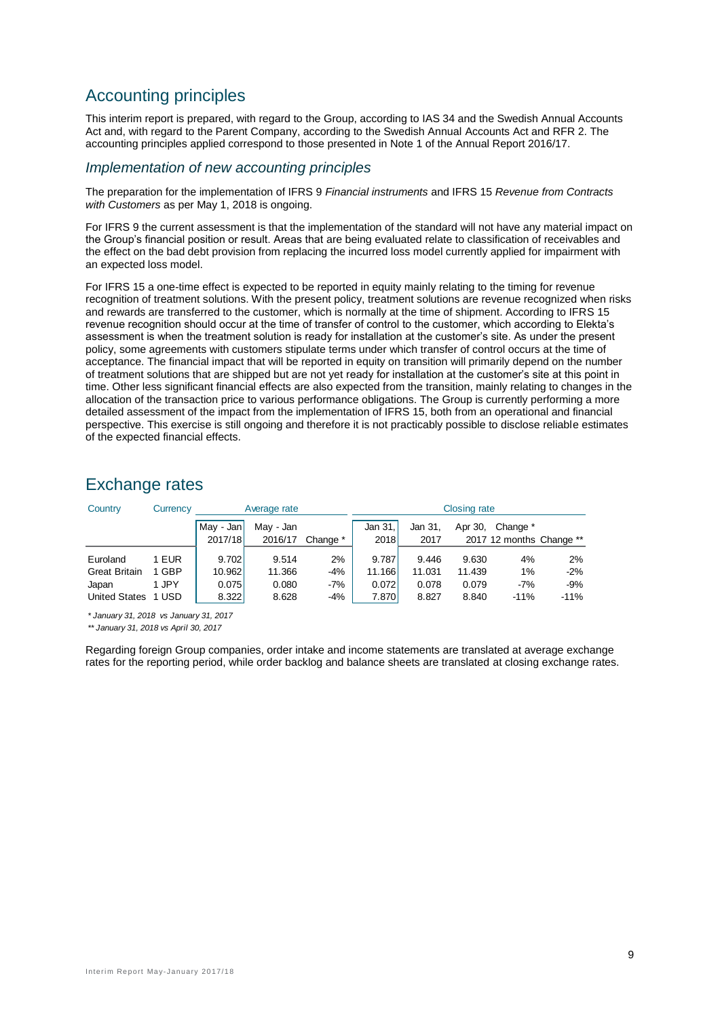## Accounting principles

This interim report is prepared, with regard to the Group, according to IAS 34 and the Swedish Annual Accounts Act and, with regard to the Parent Company, according to the Swedish Annual Accounts Act and RFR 2. The accounting principles applied correspond to those presented in Note 1 of the Annual Report 2016/17.

## *Implementation of new accounting principles*

The preparation for the implementation of IFRS 9 *Financial instruments* and IFRS 15 *Revenue from Contracts with Customers* as per May 1, 2018 is ongoing.

For IFRS 9 the current assessment is that the implementation of the standard will not have any material impact on the Group's financial position or result. Areas that are being evaluated relate to classification of receivables and the effect on the bad debt provision from replacing the incurred loss model currently applied for impairment with an expected loss model.

For IFRS 15 a one-time effect is expected to be reported in equity mainly relating to the timing for revenue recognition of treatment solutions. With the present policy, treatment solutions are revenue recognized when risks and rewards are transferred to the customer, which is normally at the time of shipment. According to IFRS 15 revenue recognition should occur at the time of transfer of control to the customer, which according to Elekta's assessment is when the treatment solution is ready for installation at the customer's site. As under the present policy, some agreements with customers stipulate terms under which transfer of control occurs at the time of acceptance. The financial impact that will be reported in equity on transition will primarily depend on the number of treatment solutions that are shipped but are not yet ready for installation at the customer's site at this point in time. Other less significant financial effects are also expected from the transition, mainly relating to changes in the allocation of the transaction price to various performance obligations. The Group is currently performing a more detailed assessment of the impact from the implementation of IFRS 15, both from an operational and financial perspective. This exercise is still ongoing and therefore it is not practicably possible to disclose reliable estimates of the expected financial effects.

## Exchange rates

| Country                                                           | Currency                         |                                   | <b>Closing rate</b><br>Average rate |                             |                                   |                                   |                                   |                                      |                                |
|-------------------------------------------------------------------|----------------------------------|-----------------------------------|-------------------------------------|-----------------------------|-----------------------------------|-----------------------------------|-----------------------------------|--------------------------------------|--------------------------------|
|                                                                   |                                  | May - Jan<br>2017/18              | May - Jan<br>2016/17                | Change *                    | Jan 31.<br>2018                   | Jan 31,<br>2017                   | Apr 30,                           | Change *<br>2017 12 months Change ** |                                |
| Euroland<br><b>Great Britain</b><br>Japan<br><b>United States</b> | 1 EUR<br>1 GBP<br>1 JPY<br>1 USD | 9.702<br>10.962<br>0.075<br>8.322 | 9.514<br>11.366<br>0.080<br>8.628   | 2%<br>$-4%$<br>$-7%$<br>-4% | 9.787<br>11.166<br>0.072<br>7.870 | 9.446<br>11.031<br>0.078<br>8.827 | 9.630<br>11.439<br>0.079<br>8.840 | 4%<br>1%<br>$-7%$<br>$-11%$          | 2%<br>$-2%$<br>$-9%$<br>$-11%$ |

*\* January 31, 2018 vs January 31, 2017*

*\*\* January 31, 2018 vs April 30, 2017*

Regarding foreign Group companies, order intake and income statements are translated at average exchange rates for the reporting period, while order backlog and balance sheets are translated at closing exchange rates.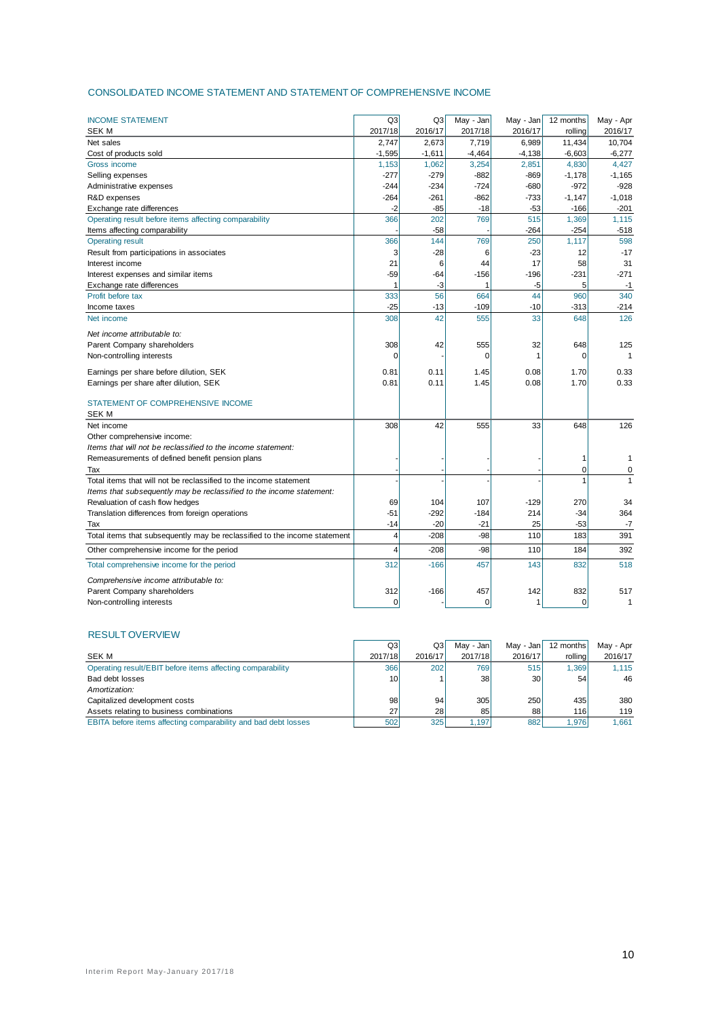#### CONSOLIDATED INCOME STATEMENT AND STATEMENT OF COMPREHENSIVE INCOME

| <b>INCOME STATEMENT</b>                                                           | Q3             |               | May - Jan | May - Jan | 12 months |                      |
|-----------------------------------------------------------------------------------|----------------|---------------|-----------|-----------|-----------|----------------------|
| <b>SEKM</b>                                                                       | 2017/18        | Q3<br>2016/17 | 2017/18   | 2016/17   | rolling   | May - Apr<br>2016/17 |
| Net sales                                                                         | 2,747          | 2,673         | 7,719     | 6,989     | 11,434    | 10,704               |
| Cost of products sold                                                             | $-1,595$       | $-1,611$      | $-4,464$  | $-4,138$  | $-6,603$  | $-6,277$             |
| Gross income                                                                      | 1,153          | 1,062         | 3,254     | 2,851     | 4,830     | 4,427                |
| Selling expenses                                                                  | $-277$         | $-279$        | $-882$    | $-869$    | $-1,178$  | $-1,165$             |
| Administrative expenses                                                           | $-244$         | $-234$        | $-724$    | $-680$    | $-972$    | $-928$               |
| R&D expenses                                                                      | $-264$         | $-261$        | $-862$    | $-733$    | $-1,147$  | $-1,018$             |
| Exchange rate differences                                                         | $-2$           | $-85$         | $-18$     | $-53$     | $-166$    | $-201$               |
| Operating result before items affecting comparability                             | 366            | 202           | 769       | 515       | 1,369     | 1,115                |
| Items affecting comparability                                                     |                | $-58$         |           | $-264$    | $-254$    | $-518$               |
| <b>Operating result</b>                                                           | 366            | 144           | 769       | 250       | 1,117     | 598                  |
| Result from participations in associates                                          | 3              | $-28$         | 6         | $-23$     | 12        | $-17$                |
| Interest income                                                                   | 21             | 6             | 44        | 17        | 58        | 31                   |
| Interest expenses and similar items                                               | $-59$          | $-64$         | $-156$    | $-196$    | $-231$    | $-271$               |
| Exchange rate differences                                                         |                | -3            |           | -5        | 5         | $-1$                 |
| Profit before tax                                                                 | 333            | 56            | 664       | 44        | 960       | 340                  |
| Income taxes                                                                      | $-25$          | $-13$         | $-109$    | -10       | $-313$    | $-214$               |
| Net income                                                                        | 308            | 42            | 555       | 33        | 648       | 126                  |
| Net income attributable to:                                                       |                |               |           |           |           |                      |
| Parent Company shareholders                                                       | 308            | 42            | 555       | 32        | 648       | 125                  |
| Non-controlling interests                                                         | $\Omega$       |               | $\Omega$  |           | $\Omega$  |                      |
|                                                                                   | 0.81           | 0.11          | 1.45      | 0.08      | 1.70      | 0.33                 |
| Earnings per share before dilution, SEK<br>Earnings per share after dilution, SEK | 0.81           | 0.11          | 1.45      | 0.08      | 1.70      | 0.33                 |
|                                                                                   |                |               |           |           |           |                      |
| STATEMENT OF COMPREHENSIVE INCOME                                                 |                |               |           |           |           |                      |
| <b>SEK M</b>                                                                      |                |               |           |           |           |                      |
| Net income                                                                        | 308            | 42            | 555       | 33        | 648       | 126                  |
| Other comprehensive income:                                                       |                |               |           |           |           |                      |
| Items that will not be reclassified to the income statement:                      |                |               |           |           |           |                      |
| Remeasurements of defined benefit pension plans                                   |                |               |           |           | 1         | 1                    |
| Tax                                                                               |                |               |           |           | $\Omega$  | $\mathbf 0$          |
| Total items that will not be reclassified to the income statement                 |                |               |           |           | 1         | $\mathbf{1}$         |
| Items that subsequently may be reclassified to the income statement:              |                |               |           |           |           |                      |
| Revaluation of cash flow hedges                                                   | 69             | 104           | 107       | $-129$    | 270       | 34                   |
| Translation differences from foreign operations                                   | $-51$          | $-292$        | $-184$    | 214       | $-34$     | 364                  |
| Tax                                                                               | $-14$          | $-20$         | $-21$     | 25        | $-53$     | $-7$                 |
| Total items that subsequently may be reclassified to the income statement         | $\overline{4}$ | $-208$        | $-98$     | 110       | 183       | 391                  |
| Other comprehensive income for the period                                         | $\overline{4}$ | $-208$        | $-98$     | 110       | 184       | 392                  |
| Total comprehensive income for the period                                         | 312            | $-166$        | 457       | 143       | 832       | 518                  |
| Comprehensive income attributable to:                                             |                |               |           |           |           |                      |
| Parent Company shareholders                                                       | 312            | $-166$        | 457       |           | 832       | 517                  |
|                                                                                   |                |               |           | 142       |           | 1                    |
| Non-controlling interests                                                         | $\Omega$       |               | $\Omega$  | 1         | $\Omega$  |                      |

#### RESULT OVERVIEW

| <b>RESULI UVERVIEW</b>                                         |                 |         |           |                 |           |           |
|----------------------------------------------------------------|-----------------|---------|-----------|-----------------|-----------|-----------|
|                                                                | Q3l             | Q3      | May - Jan | May - Jan       | 12 months | May - Apr |
| SEK M                                                          | 2017/18         | 2016/17 | 2017/18   | 2016/17         | rollinal  | 2016/17   |
| Operating result/EBIT before items affecting comparability     | <b>366</b>      | 202     | 769       | 515             | 1.369     | 1.115     |
| Bad debt losses                                                | 10 <sup>1</sup> |         | 38        | 30 <sup>1</sup> | 54        | 46        |
| Amortization:                                                  |                 |         |           |                 |           |           |
| Capitalized development costs                                  | 98              | 94      | 305       | 250             | 435       | 380       |
| Assets relating to business combinations                       | 27              | 28      | 85        | 88              | 116       | 119       |
| EBITA before items affecting comparability and bad debt losses | 502             | 325     | 1.197     | 882             | 1.976     | 1.661     |
|                                                                |                 |         |           |                 |           |           |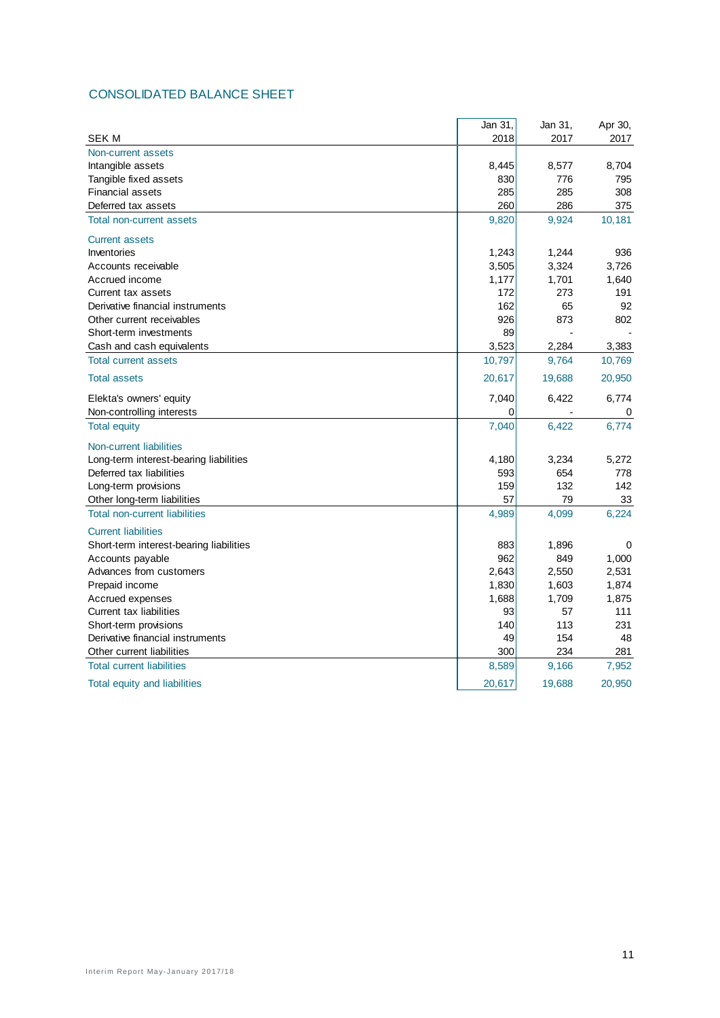## CONSOLIDATED BALANCE SHEET

|                                         | Jan 31, | Jan 31,                  | Apr 30, |
|-----------------------------------------|---------|--------------------------|---------|
| <b>SEK M</b>                            | 2018    | 2017                     | 2017    |
| Non-current assets                      |         |                          |         |
| Intangible assets                       | 8,445   | 8,577                    | 8,704   |
| Tangible fixed assets                   | 830     | 776                      | 795     |
| <b>Financial assets</b>                 | 285     | 285                      | 308     |
| Deferred tax assets                     | 260     | 286                      | 375     |
| Total non-current assets                | 9,820   | 9,924                    | 10,181  |
| <b>Current assets</b>                   |         |                          |         |
| Inventories                             | 1,243   | 1,244                    | 936     |
| Accounts receivable                     | 3,505   | 3,324                    | 3.726   |
| Accrued income                          | 1,177   | 1,701                    | 1,640   |
| Current tax assets                      | 172     | 273                      | 191     |
| Derivative financial instruments        | 162     | 65                       | 92      |
| Other current receivables               | 926     | 873                      | 802     |
| Short-term investments                  | 89      |                          |         |
| Cash and cash equivalents               | 3,523   | 2,284                    | 3,383   |
| <b>Total current assets</b>             | 10,797  | 9,764                    | 10,769  |
| <b>Total assets</b>                     | 20,617  | 19,688                   | 20,950  |
| Elekta's owners' equity                 | 7,040   | 6,422                    | 6,774   |
| Non-controlling interests               | 0       | $\overline{\phantom{a}}$ | 0       |
| <b>Total equity</b>                     | 7,040   | 6,422                    | 6,774   |
| Non-current liabilities                 |         |                          |         |
| Long-term interest-bearing liabilities  | 4,180   | 3,234                    | 5,272   |
| Deferred tax liabilities                | 593     | 654                      | 778     |
| Long-term provisions                    | 159     | 132                      | 142     |
| Other long-term liabilities             | 57      | 79                       | 33      |
| <b>Total non-current liabilities</b>    | 4,989   | 4,099                    | 6,224   |
| <b>Current liabilities</b>              |         |                          |         |
| Short-term interest-bearing liabilities | 883     | 1,896                    | 0       |
| Accounts payable                        | 962     | 849                      | 1,000   |
| Advances from customers                 | 2,643   | 2,550                    | 2,531   |
| Prepaid income                          | 1,830   | 1,603                    | 1,874   |
| Accrued expenses                        | 1,688   | 1,709                    | 1,875   |
| Current tax liabilities                 | 93      | 57                       | 111     |
| Short-term provisions                   | 140     | 113                      | 231     |
| Derivative financial instruments        | 49      | 154                      | 48      |
| Other current liabilities               | 300     | 234                      | 281     |
| <b>Total current liabilities</b>        | 8,589   | 9,166                    | 7,952   |
| Total equity and liabilities            | 20,617  | 19,688                   | 20,950  |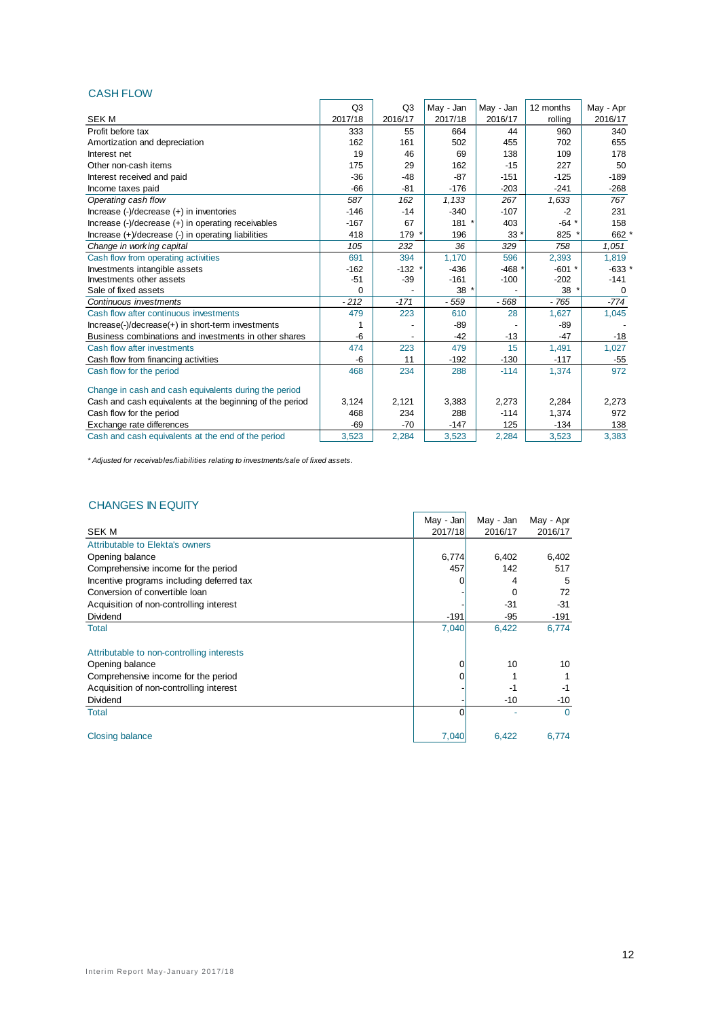#### CASH FLOW

|                                                          | Q <sub>3</sub> | Q3      | May - Jan | May - Jan | 12 months | May - Apr |
|----------------------------------------------------------|----------------|---------|-----------|-----------|-----------|-----------|
| <b>SEK M</b>                                             | 2017/18        | 2016/17 | 2017/18   | 2016/17   | rolling   | 2016/17   |
| Profit before tax                                        | 333            | 55      | 664       | 44        | 960       | 340       |
| Amortization and depreciation                            | 162            | 161     | 502       | 455       | 702       | 655       |
| Interest net                                             | 19             | 46      | 69        | 138       | 109       | 178       |
| Other non-cash items                                     | 175            | 29      | 162       | $-15$     | 227       | 50        |
| Interest received and paid                               | $-36$          | $-48$   | $-87$     | $-151$    | $-125$    | $-189$    |
| Income taxes paid                                        | $-66$          | $-81$   | $-176$    | $-203$    | $-241$    | $-268$    |
| Operating cash flow                                      | 587            | 162     | 1,133     | 267       | 1,633     | 767       |
| Increase (-)/decrease (+) in inventories                 | $-146$         | $-14$   | $-340$    | $-107$    | $-2$      | 231       |
| Increase (-)/decrease (+) in operating receivables       | $-167$         | 67      | 181       | 403       | $-64$ *   | 158       |
| Increase (+)/decrease (-) in operating liabilities       | 418            | 179     | 196       | $33*$     | 825 *     | 662 *     |
| Change in working capital                                | 105            | 232     | 36        | 329       | 758       | 1,051     |
| Cash flow from operating activities                      | 691            | 394     | 1,170     | 596       | 2,393     | 1,819     |
| Investments intangible assets                            | $-162$         | $-132$  | $-436$    | $-468*$   | $-601$ *  | $-633$ *  |
| Investments other assets                                 | $-51$          | $-39$   | $-161$    | $-100$    | $-202$    | $-141$    |
| Sale of fixed assets                                     | $\Omega$       |         | $38*$     |           | 38'       | 0         |
| Continuous investments                                   | $-212$         | $-171$  | $-559$    | $-568$    | $-765$    | $-774$    |
| Cash flow after continuous investments                   | 479            | 223     | 610       | 28        | 1,627     | 1,045     |
| Increase(-)/decrease(+) in short-term investments        |                |         | $-89$     |           | $-89$     |           |
| Business combinations and investments in other shares    | $-6$           |         | $-42$     | $-13$     | $-47$     | $-18$     |
| Cash flow after investments                              | 474            | 223     | 479       | 15        | 1,491     | 1,027     |
| Cash flow from financing activities                      | -6             | 11      | $-192$    | $-130$    | $-117$    | $-55$     |
| Cash flow for the period                                 | 468            | 234     | 288       | $-114$    | 1,374     | 972       |
| Change in cash and cash equivalents during the period    |                |         |           |           |           |           |
| Cash and cash equivalents at the beginning of the period | 3,124          | 2,121   | 3.383     | 2,273     | 2,284     | 2,273     |
| Cash flow for the period                                 | 468            | 234     | 288       | $-114$    | 1.374     | 972       |
| Exchange rate differences                                | $-69$          | $-70$   | $-147$    | 125       | $-134$    | 138       |
| Cash and cash equivalents at the end of the period       | 3.523          | 2.284   | 3,523     | 2.284     | 3.523     | 3,383     |

*\* Adjusted for receivables/liabilities relating to investments/sale of fixed assets.*

## CHANGES IN EQUITY

| <u>ULIMNULU IN LUULI I</u>                |           |           |           |
|-------------------------------------------|-----------|-----------|-----------|
|                                           | May - Jan | May - Jan | May - Apr |
| <b>SEK M</b>                              | 2017/18   | 2016/17   | 2016/17   |
| Attributable to Elekta's owners           |           |           |           |
| Opening balance                           | 6,774     | 6,402     | 6,402     |
| Comprehensive income for the period       | 457       | 142       | 517       |
| Incentive programs including deferred tax |           | 4         | 5         |
| Conversion of convertible loan            |           | 0         | 72        |
| Acquisition of non-controlling interest   |           | $-31$     | $-31$     |
| Dividend                                  | $-191$    | $-95$     | $-191$    |
| Total                                     | 7,040     | 6,422     | 6,774     |
| Attributable to non-controlling interests |           |           |           |
| Opening balance                           | 0         | 10        | 10        |
| Comprehensive income for the period       |           |           |           |
| Acquisition of non-controlling interest   |           | $-1$      | -1        |
| Dividend                                  |           | $-10$     | $-10$     |
| <b>Total</b>                              | ŋ         |           | $\Omega$  |
| Closing balance                           | 7,040     | 6,422     | 6,774     |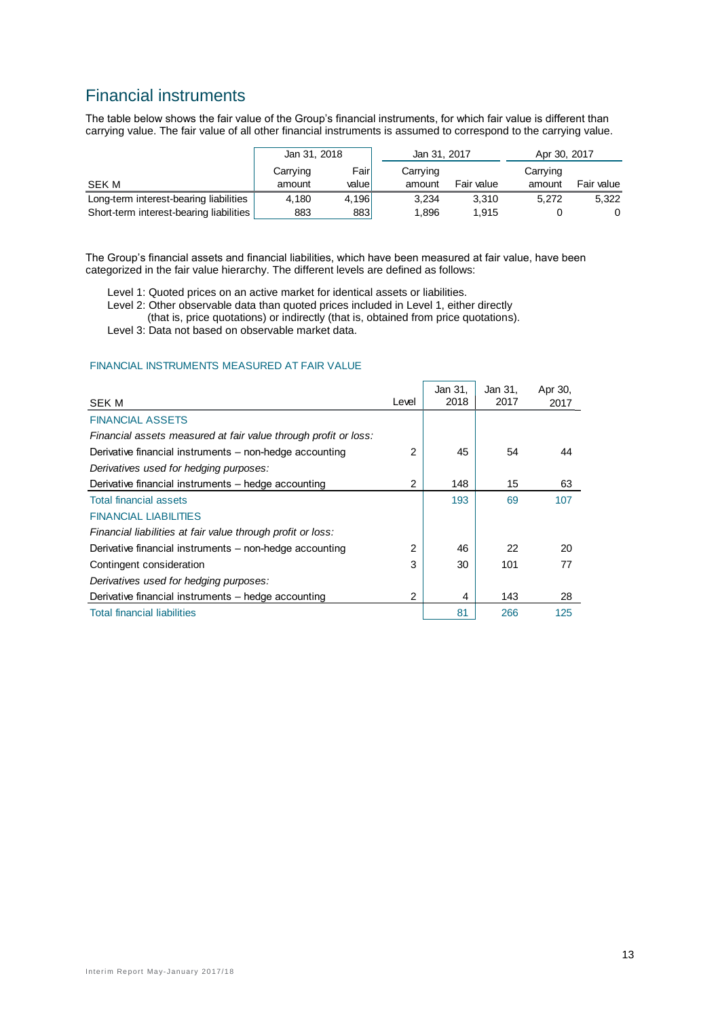## Financial instruments

The table below shows the fair value of the Group's financial instruments, for which fair value is different than carrying value. The fair value of all other financial instruments is assumed to correspond to the carrying value.

|                                         | Jan 31, 2018 |        | Jan 31, 2017 |            | Apr 30, 2017 |            |  |
|-----------------------------------------|--------------|--------|--------------|------------|--------------|------------|--|
|                                         | Carrying     | Fairl  | Carrying     |            |              |            |  |
| SEK M                                   | amount       | valuel | amount       | Fair value | amount       | Fair value |  |
| Long-term interest-bearing liabilities  | 4.180        | 4.196  | 3.234        | 3.310      | 5.272        | 5.322      |  |
| Short-term interest-bearing liabilities | 883          | 883    | 1.896        | 1.915      |              |            |  |

The Group's financial assets and financial liabilities, which have been measured at fair value, have been categorized in the fair value hierarchy. The different levels are defined as follows:

Level 1: Quoted prices on an active market for identical assets or liabilities.

Level 2: Other observable data than quoted prices included in Level 1, either directly

(that is, price quotations) or indirectly (that is, obtained from price quotations).

Level 3: Data not based on observable market data.

#### FINANCIAL INSTRUMENTS MEASURED AT FAIR VALUE

| <b>SEK M</b>                                                    | Level | Jan 31,<br>2018 | Jan 31,<br>2017 | Apr 30,<br>2017 |
|-----------------------------------------------------------------|-------|-----------------|-----------------|-----------------|
| <b>FINANCIAL ASSETS</b>                                         |       |                 |                 |                 |
| Financial assets measured at fair value through profit or loss: |       |                 |                 |                 |
| Derivative financial instruments – non-hedge accounting         | 2     | 45              | 54              | 44              |
| Derivatives used for hedging purposes:                          |       |                 |                 |                 |
| Derivative financial instruments – hedge accounting             | 2     | 148             | 15              | 63              |
| <b>Total financial assets</b>                                   |       | 193             | 69              | 107             |
| <b>FINANCIAL LIABILITIES</b>                                    |       |                 |                 |                 |
| Financial liabilities at fair value through profit or loss:     |       |                 |                 |                 |
| Derivative financial instruments – non-hedge accounting         | 2     | 46              | 22              | 20              |
| Contingent consideration                                        | 3     | 30              | 101             | 77              |
| Derivatives used for hedging purposes:                          |       |                 |                 |                 |
| Derivative financial instruments – hedge accounting             | 2     | 4               | 143             | 28              |
| <b>Total financial liabilities</b>                              |       | 81              | 266             | 125             |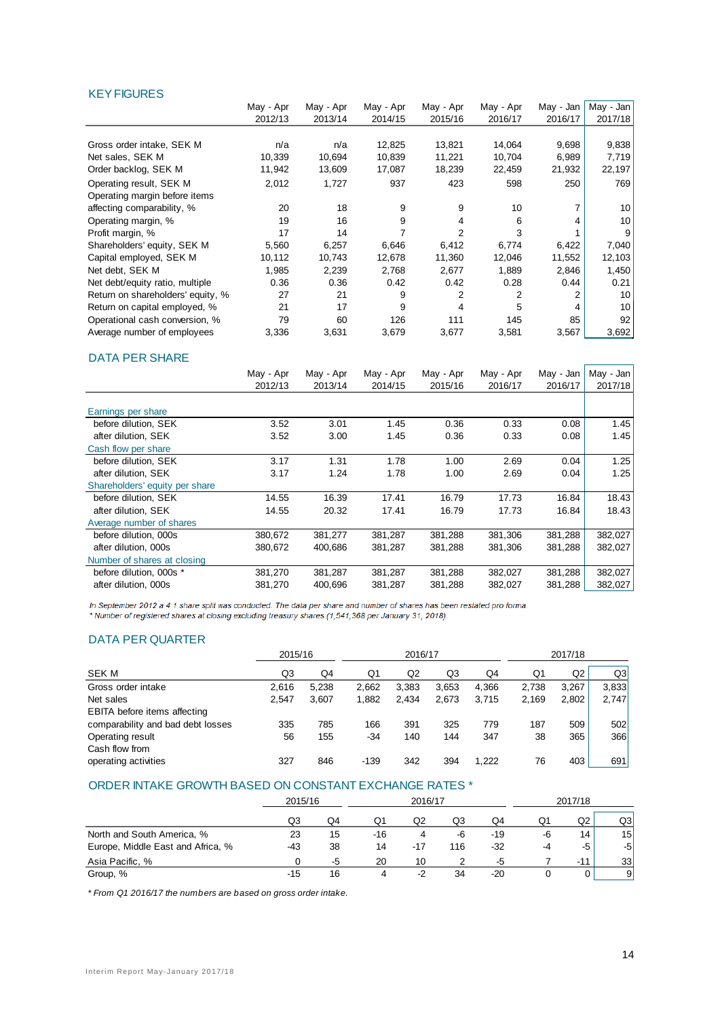#### KEY FIGURES

|                                   | May - Apr | May - Apr | May - Apr | May - Apr      | May - Apr | May - Jan | May - Jan |
|-----------------------------------|-----------|-----------|-----------|----------------|-----------|-----------|-----------|
|                                   | 2012/13   | 2013/14   | 2014/15   | 2015/16        | 2016/17   | 2016/17   | 2017/18   |
|                                   |           |           |           |                |           |           |           |
| Gross order intake, SEK M         | n/a       | n/a       | 12,825    | 13,821         | 14,064    | 9,698     | 9,838     |
| Net sales, SEK M                  | 10,339    | 10,694    | 10,839    | 11,221         | 10,704    | 6,989     | 7,719     |
| Order backlog, SEK M              | 11,942    | 13,609    | 17,087    | 18,239         | 22,459    | 21,932    | 22,197    |
| Operating result, SEK M           | 2,012     | 1,727     | 937       | 423            | 598       | 250       | 769       |
| Operating margin before items     |           |           |           |                |           |           |           |
| affecting comparability, %        | 20        | 18        | 9         | 9              | 10        |           | 10        |
| Operating margin, %               | 19        | 16        | 9         | 4              | 6         |           | 10        |
| Profit margin, %                  | 17        | 14        |           | $\overline{2}$ | 3         |           | 9         |
| Shareholders' equity, SEK M       | 5,560     | 6,257     | 6,646     | 6,412          | 6,774     | 6,422     | 7,040     |
| Capital employed, SEK M           | 10,112    | 10,743    | 12,678    | 11,360         | 12,046    | 11,552    | 12,103    |
| Net debt, SEK M                   | 1,985     | 2,239     | 2,768     | 2,677          | 1,889     | 2,846     | 1,450     |
| Net debt/equity ratio, multiple   | 0.36      | 0.36      | 0.42      | 0.42           | 0.28      | 0.44      | 0.21      |
| Return on shareholders' equity, % | 27        | 21        | 9         | 2              | 2         |           | 10        |
| Return on capital employed, %     | 21        | 17        | 9         | 4              | 5         |           | 10        |
| Operational cash conversion, %    | 79        | 60        | 126       | 111            | 145       | 85        | 92        |
| Average number of employees       | 3,336     | 3,631     | 3,679     | 3,677          | 3,581     | 3,567     | 3,692     |

#### DATA PER SHARE

|                                | May - Apr | May - Apr | May - Apr | May - Apr | May - Apr | May - Jan | May - Jan |
|--------------------------------|-----------|-----------|-----------|-----------|-----------|-----------|-----------|
|                                | 2012/13   | 2013/14   | 2014/15   | 2015/16   | 2016/17   | 2016/17   | 2017/18   |
|                                |           |           |           |           |           |           |           |
| Earnings per share             |           |           |           |           |           |           |           |
| before dilution. SEK           | 3.52      | 3.01      | 1.45      | 0.36      | 0.33      | 0.08      | 1.45      |
| after dilution. SEK            | 3.52      | 3.00      | 1.45      | 0.36      | 0.33      | 0.08      | 1.45      |
| Cash flow per share            |           |           |           |           |           |           |           |
| before dilution. SEK           | 3.17      | 1.31      | 1.78      | 1.00      | 2.69      | 0.04      | 1.25      |
| after dilution. SEK            | 3.17      | 1.24      | 1.78      | 1.00      | 2.69      | 0.04      | 1.25      |
| Shareholders' equity per share |           |           |           |           |           |           |           |
| before dilution, SEK           | 14.55     | 16.39     | 17.41     | 16.79     | 17.73     | 16.84     | 18.43     |
| after dilution, SEK            | 14.55     | 20.32     | 17.41     | 16.79     | 17.73     | 16.84     | 18.43     |
| Average number of shares       |           |           |           |           |           |           |           |
| before dilution, 000s          | 380,672   | 381,277   | 381,287   | 381,288   | 381,306   | 381,288   | 382,027   |
| after dilution, 000s           | 380,672   | 400,686   | 381,287   | 381,288   | 381,306   | 381,288   | 382,027   |
| Number of shares at closing    |           |           |           |           |           |           |           |
| before dilution, 000s *        | 381,270   | 381,287   | 381,287   | 381,288   | 382,027   | 381,288   | 382,027   |
| after dilution, 000s           | 381,270   | 400,696   | 381,287   | 381,288   | 382,027   | 381,288   | 382,027   |

In September 2012 a 4:1 share split was conducted. The data per share and number of shares has been restated pro forma. \*Number of registered shares at closing excluding treasury shares (1,541,368 per January 31, 2018).

#### DATA PER QUARTER

|                                   |       | 2015/16 |        | 2016/17 |       |       |       | 2017/18 |       |  |
|-----------------------------------|-------|---------|--------|---------|-------|-------|-------|---------|-------|--|
| <b>SEK M</b>                      | Q3    | Q4      | Q1     | Q2      | Q3    | Q4    | Q1    | Q2      | Q3    |  |
| Gross order intake                | 2,616 | 5.238   | 2.662  | 3.383   | 3.653 | 4.366 | 2.738 | 3.267   | 3.833 |  |
| Net sales                         | 2.547 | 3,607   | 1,882  | 2,434   | 2,673 | 3.715 | 2,169 | 2,802   | 2,747 |  |
| EBITA before items affecting      |       |         |        |         |       |       |       |         |       |  |
| comparability and bad debt losses | 335   | 785     | 166    | 391     | 325   | 779   | 187   | 509     | 502   |  |
| Operating result                  | 56    | 155     | -34    | 140     | 144   | 347   | 38    | 365     | 366   |  |
| Cash flow from                    |       |         |        |         |       |       |       |         |       |  |
| operating activities              | 327   | 846     | $-139$ | 342     | 394   | 1.222 | 76    | 403     | 691   |  |
|                                   |       |         |        |         |       |       |       |         |       |  |

#### ORDER INTAKE GROWTH BASED ON CONSTANT EXCHANGE RATES \*

|                                   | 2015/16 |    | 2016/17 |       |     |       | 2017/18 |       |    |
|-----------------------------------|---------|----|---------|-------|-----|-------|---------|-------|----|
|                                   | Q3      | Q4 | Q1      | Q2    | Q3  | Q4    | Q1      | Q2    | Q3 |
| North and South America, %        | 23      | 15 | -16     | 4     | -6  | $-19$ | -6      | 14    | 15 |
| Europe, Middle East and Africa, % | -43     | 38 | 14      | $-17$ | 116 | -32   | -4      | -5    | -5 |
| Asia Pacific, %                   |         | -5 | 20      | 10    |     | -5    |         | $-11$ | 33 |
| Group, %                          | -15     | 16 |         | -2    | 34  | $-20$ |         |       | 9  |

*\* From Q1 2016/17 the numbers are based on gross order intake.*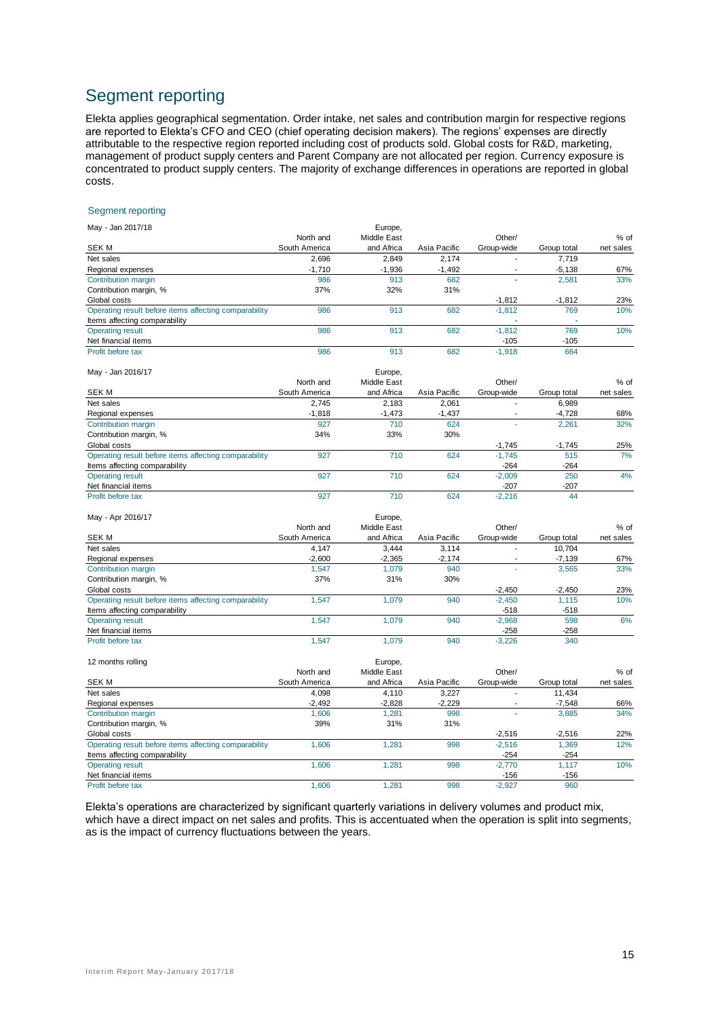## Segment reporting

Elekta applies geographical segmentation. Order intake, net sales and contribution margin for respective regions are reported to Elekta's CFO and CEO (chief operating decision makers). The regions' expenses are directly attributable to the respective region reported including cost of products sold. Global costs for R&D, marketing, management of product supply centers and Parent Company are not allocated per region. Currency exposure is concentrated to product supply centers. The majority of exchange differences in operations are reported in global costs.

#### Segment reporting

| May - Jan 2017/18                                     |               | Europe,     |              |                          |             |           |
|-------------------------------------------------------|---------------|-------------|--------------|--------------------------|-------------|-----------|
|                                                       | North and     | Middle East |              | Other/                   |             | $%$ of    |
| <b>SEK M</b>                                          | South America | and Africa  | Asia Pacific | Group-wide               | Group total | net sales |
| Net sales                                             | 2.696         | 2.849       | 2.174        |                          | 7.719       |           |
| Regional expenses                                     | $-1,710$      | $-1.936$    | $-1,492$     |                          | $-5,138$    | 67%       |
| Contribution margin                                   | 986           | 913         | 682          |                          | 2.581       | 33%       |
| Contribution margin, %                                | 37%           | 32%         | 31%          |                          |             |           |
| Global costs                                          |               |             |              | $-1.812$                 | $-1.812$    | 23%       |
| Operating result before items affecting comparability | 986           | 913         | 682          | $-1,812$                 | 769         | 10%       |
| Items affecting comparability                         |               |             |              | $\overline{\phantom{a}}$ |             |           |
| <b>Operating result</b>                               | 986           | 913         | 682          | $-1.812$                 | 769         | 10%       |
| Net financial items                                   |               |             |              | $-105$                   | $-105$      |           |
| Profit before tax                                     | 986           | 913         | 682          | $-1.918$                 | 664         |           |

May - Jan 2016/17 Europe,

| $11101$ via $11211$                                   |               | Lui Upu,    |              |            |             |           |
|-------------------------------------------------------|---------------|-------------|--------------|------------|-------------|-----------|
|                                                       | North and     | Middle East |              | Other/     |             | $%$ of    |
| SEK M                                                 | South America | and Africa  | Asia Pacific | Group-wide | Group total | net sales |
| Net sales                                             | 2.745         | 2.183       | 2.061        |            | 6.989       |           |
| Regional expenses                                     | $-1,818$      | $-1,473$    | $-1,437$     |            | $-4,728$    | 68%       |
| Contribution margin                                   | 927           | 710         | 624          |            | 2.261       | 32%       |
| Contribution margin, %                                | 34%           | 33%         | 30%          |            |             |           |
| Global costs                                          |               |             |              | $-1.745$   | $-1.745$    | 25%       |
| Operating result before items affecting comparability | 927           | 710         | 624          | $-1.745$   | 515         | 7%        |
| Items affecting comparability                         |               |             |              | $-264$     | $-264$      |           |
| <b>Operating result</b>                               | 927           | 710         | 624          | $-2.009$   | 250         | 4%        |
| Net financial items                                   |               |             |              | $-207$     | $-207$      |           |
| Profit before tax                                     | 927           | 710         | 624          | $-2.216$   | 44          |           |

| May - Apr 2016/17                                     |               | Europe,     |              |            |             |           |
|-------------------------------------------------------|---------------|-------------|--------------|------------|-------------|-----------|
|                                                       | North and     | Middle East |              | Other/     |             | $%$ of    |
| SEK M                                                 | South America | and Africa  | Asia Pacific | Group-wide | Group total | net sales |
| Net sales                                             | 4.147         | 3.444       | 3.114        |            | 10.704      |           |
| Regional expenses                                     | $-2.600$      | $-2,365$    | $-2.174$     |            | $-7,139$    | 67%       |
| Contribution margin                                   | 1.547         | 1.079       | 940          |            | 3,565       | 33%       |
| Contribution margin, %                                | 37%           | 31%         | 30%          |            |             |           |
| Global costs                                          |               |             |              | $-2.450$   | $-2,450$    | 23%       |
| Operating result before items affecting comparability | 1.547         | 1.079       | 940          | $-2.450$   | 1.115       | 10%       |
| Items affecting comparability                         |               |             |              | -518       | $-518$      |           |
| <b>Operating result</b>                               | 1.547         | 1.079       | 940          | $-2.968$   | 598         | 6%        |
| Net financial items                                   |               |             |              | $-258$     | $-258$      |           |
| Profit before tax                                     | 1.547         | 1.079       | 940          | $-3.226$   | 340         |           |

| 12 months rolling                                     |               | Europe,     |              |            |             |           |
|-------------------------------------------------------|---------------|-------------|--------------|------------|-------------|-----------|
|                                                       | North and     | Middle East |              | Other/     |             | $%$ of    |
| <b>SEK M</b>                                          | South America | and Africa  | Asia Pacific | Group-wide | Group total | net sales |
| Net sales                                             | 4.098         | 4.110       | 3.227        |            | 11.434      |           |
| Regional expenses                                     | $-2,492$      | $-2.828$    | $-2.229$     |            | $-7.548$    | 66%       |
| Contribution margin                                   | 1.606         | 1.281       | 998          |            | 3.885       | 34%       |
| Contribution margin, %                                | 39%           | 31%         | 31%          |            |             |           |
| Global costs                                          |               |             |              | $-2.516$   | $-2.516$    | 22%       |
| Operating result before items affecting comparability | 1.606         | 1.281       | 998          | $-2.516$   | 1.369       | 12%       |
| Items affecting comparability                         |               |             |              | $-254$     | $-254$      |           |
| <b>Operating result</b>                               | 1.606         | 1.281       | 998          | $-2.770$   | 1.117       | 10%       |
| Net financial items                                   |               |             |              | $-156$     | $-156$      |           |
| Profit before tax                                     | 1.606         | 1.281       | 998          | $-2.927$   | 960         |           |

Elekta's operations are characterized by significant quarterly variations in delivery volumes and product mix, which have a direct impact on net sales and profits. This is accentuated when the operation is split into segments, as is the impact of currency fluctuations between the years.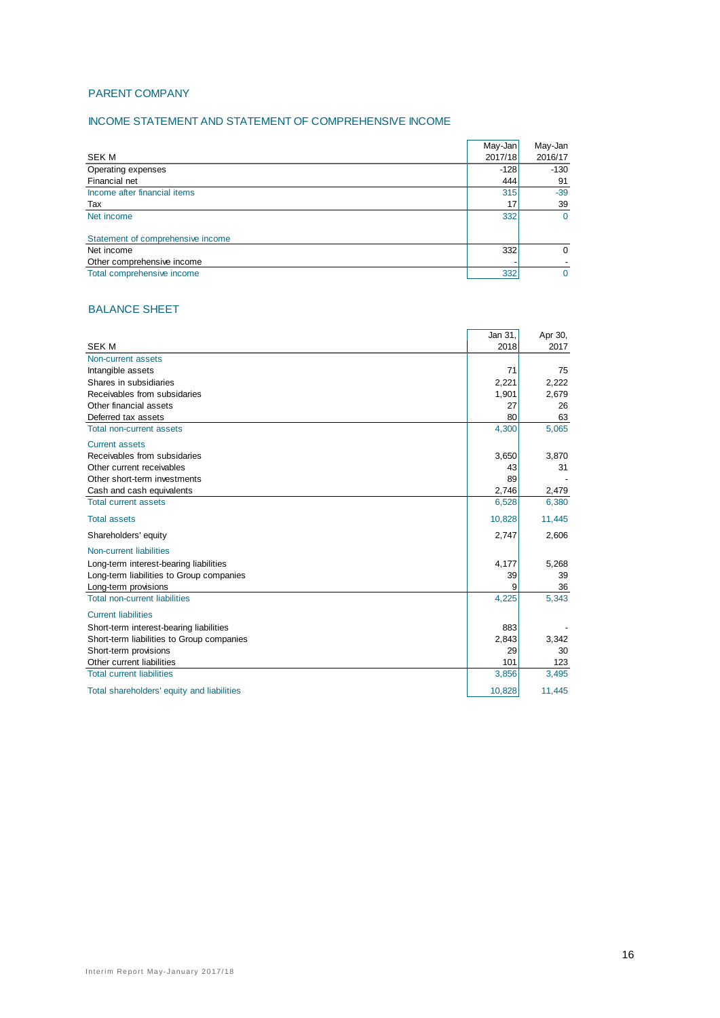#### PARENT COMPANY

#### INCOME STATEMENT AND STATEMENT OF COMPREHENSIVE INCOME

|                                   | May-Jan | May-Jan  |
|-----------------------------------|---------|----------|
| <b>SEK M</b>                      | 2017/18 | 2016/17  |
| Operating expenses                | $-128$  | $-130$   |
| Financial net                     | 444     | 91       |
| Income after financial items      | 315     | $-39$    |
| Tax                               | 17      | 39       |
| Net income                        | 332     | $\Omega$ |
|                                   |         |          |
| Statement of comprehensive income |         |          |
| Net income                        | 332     | $\Omega$ |
| Other comprehensive income        |         |          |
| Total comprehensive income        | 332     | $\Omega$ |

#### BALANCE SHEET

|                                            | Jan 31, | Apr 30, |
|--------------------------------------------|---------|---------|
| <b>SEK M</b>                               | 2018    | 2017    |
| Non-current assets                         |         |         |
| Intangible assets                          | 71      | 75      |
| Shares in subsidiaries                     | 2,221   | 2,222   |
| Receivables from subsidaries               | 1,901   | 2,679   |
| Other financial assets                     | 27      | 26      |
| Deferred tax assets                        | 80      | 63      |
| <b>Total non-current assets</b>            | 4,300   | 5,065   |
| <b>Current assets</b>                      |         |         |
| Receivables from subsidaries               | 3,650   | 3,870   |
| Other current receivables                  | 43      | 31      |
| Other short-term investments               | 89      |         |
| Cash and cash equivalents                  | 2,746   | 2,479   |
| <b>Total current assets</b>                | 6,528   | 6,380   |
| <b>Total assets</b>                        | 10,828  | 11,445  |
| Shareholders' equity                       | 2,747   | 2,606   |
| Non-current liabilities                    |         |         |
| Long-term interest-bearing liabilities     | 4,177   | 5,268   |
| Long-term liabilities to Group companies   | 39      | 39      |
| Long-term provisions                       | 9       | 36      |
| <b>Total non-current liabilities</b>       | 4,225   | 5,343   |
| <b>Current liabilities</b>                 |         |         |
| Short-term interest-bearing liabilities    | 883     |         |
| Short-term liabilities to Group companies  | 2,843   | 3.342   |
| Short-term provisions                      | 29      | 30      |
| Other current liabilities                  | 101     | 123     |
| <b>Total current liabilities</b>           | 3,856   | 3,495   |
| Total shareholders' equity and liabilities | 10,828  | 11.445  |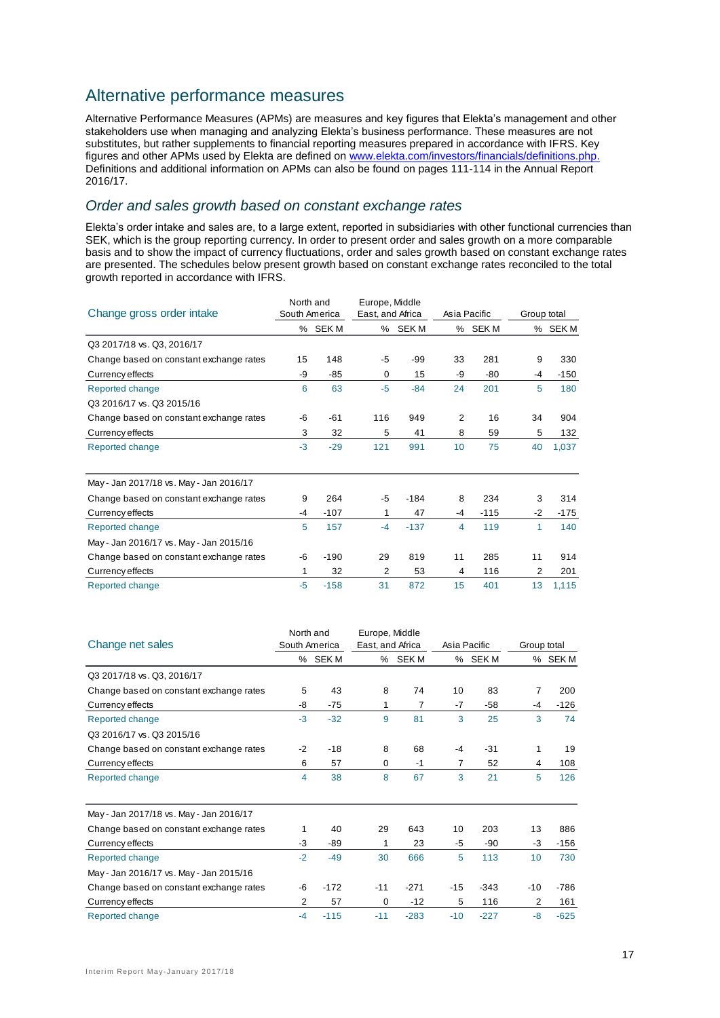## Alternative performance measures

Alternative Performance Measures (APMs) are measures and key figures that Elekta's management and other stakeholders use when managing and analyzing Elekta's business performance. These measures are not substitutes, but rather supplements to financial reporting measures prepared in accordance with IFRS. Key figures and other APMs used by Elekta are defined on [www.elekta.com/investors/financials/definitions.php.](http://www.elekta.com/investors/financials/definitions.php) Definitions and additional information on APMs can also be found on pages 111-114 in the Annual Report 2016/17.

## *Order and sales growth based on constant exchange rates*

Elekta's order intake and sales are, to a large extent, reported in subsidiaries with other functional currencies than SEK, which is the group reporting currency. In order to present order and sales growth on a more comparable basis and to show the impact of currency fluctuations, order and sales growth based on constant exchange rates are presented. The schedules below present growth based on constant exchange rates reconciled to the total growth reported in accordance with IFRS.

|                                         | North and     |         | Europe, Middle   |         |                |         |             |         |  |
|-----------------------------------------|---------------|---------|------------------|---------|----------------|---------|-------------|---------|--|
| Change gross order intake               | South America |         | East, and Africa |         | Asia Pacific   |         | Group total |         |  |
|                                         |               | % SEK M |                  | % SEK M |                | % SEK M |             | % SEK M |  |
| Q3 2017/18 vs. Q3, 2016/17              |               |         |                  |         |                |         |             |         |  |
| Change based on constant exchange rates | 15            | 148     | -5               | -99     | 33             | 281     | 9           | 330     |  |
| Currency effects                        | -9            | -85     | 0                | 15      | -9             | $-80$   | -4          | $-150$  |  |
| Reported change                         | 6             | 63      | $-5$             | $-84$   | 24             | 201     | 5           | 180     |  |
| Q3 2016/17 vs. Q3 2015/16               |               |         |                  |         |                |         |             |         |  |
| Change based on constant exchange rates | -6            | $-61$   | 116              | 949     | 2              | 16      | 34          | 904     |  |
| Currency effects                        | 3             | 32      | 5                | 41      | 8              | 59      | 5           | 132     |  |
| Reported change                         | $-3$          | $-29$   | 121              | 991     | 10             | 75      | 40          | 1,037   |  |
| May - Jan 2017/18 vs. May - Jan 2016/17 |               |         |                  |         |                |         |             |         |  |
| Change based on constant exchange rates | 9             | 264     | -5               | $-184$  | 8              | 234     | 3           | 314     |  |
| Currency effects                        | $-4$          | $-107$  | 1                | 47      | -4             | $-115$  | $-2$        | $-175$  |  |
| Reported change                         | 5             | 157     | $-4$             | $-137$  | $\overline{4}$ | 119     | 1           | 140     |  |
| May - Jan 2016/17 vs. May - Jan 2015/16 |               |         |                  |         |                |         |             |         |  |
| Change based on constant exchange rates | -6            | $-190$  | 29               | 819     | 11             | 285     | 11          | 914     |  |
| Currency effects                        | 1             | 32      | 2                | 53      | 4              | 116     | 2           | 201     |  |
| Reported change                         | -5            | $-158$  | 31               | 872     | 15             | 401     | 13          | 1,115   |  |

| Change net sales                        | North and<br>South America |        | Europe, Middle<br>East, and Africa |         |       | Asia Pacific | Group total |         |
|-----------------------------------------|----------------------------|--------|------------------------------------|---------|-------|--------------|-------------|---------|
|                                         |                            | % SEKM |                                    | % SEK M |       | % SEK M      |             | % SEK M |
| Q3 2017/18 vs. Q3, 2016/17              |                            |        |                                    |         |       |              |             |         |
| Change based on constant exchange rates | 5                          | 43     | 8                                  | 74      | 10    | 83           | 7           | 200     |
| Currency effects                        | -8                         | $-75$  | 1                                  | 7       | $-7$  | $-58$        | -4          | $-126$  |
| Reported change                         | $-3$                       | $-32$  | 9                                  | 81      | 3     | 25           | 3           | 74      |
| Q3 2016/17 vs. Q3 2015/16               |                            |        |                                    |         |       |              |             |         |
| Change based on constant exchange rates | $-2$                       | $-18$  | 8                                  | 68      | $-4$  | $-31$        | 1           | 19      |
| Currency effects                        | 6                          | 57     | 0                                  | $-1$    | 7     | 52           | 4           | 108     |
| Reported change                         | 4                          | 38     | 8                                  | 67      | 3     | 21           | 5           | 126     |
| May - Jan 2017/18 vs. May - Jan 2016/17 |                            |        |                                    |         |       |              |             |         |
| Change based on constant exchange rates | 1                          | 40     | 29                                 | 643     | 10    | 203          | 13          | 886     |
| Currency effects                        | -3                         | -89    | 1                                  | 23      | -5    | $-90$        | -3          | $-156$  |
| Reported change                         | $-2$                       | $-49$  | 30                                 | 666     | 5     | 113          | 10          | 730     |
| May - Jan 2016/17 vs. May - Jan 2015/16 |                            |        |                                    |         |       |              |             |         |
| Change based on constant exchange rates | -6                         | $-172$ | $-11$                              | $-271$  | $-15$ | $-343$       | $-10$       | $-786$  |
| Currency effects                        | 2                          | 57     | $\Omega$                           | $-12$   | 5     | 116          | 2           | 161     |
| Reported change                         | $-4$                       | $-115$ | $-11$                              | $-283$  | $-10$ | $-227$       | -8          | $-625$  |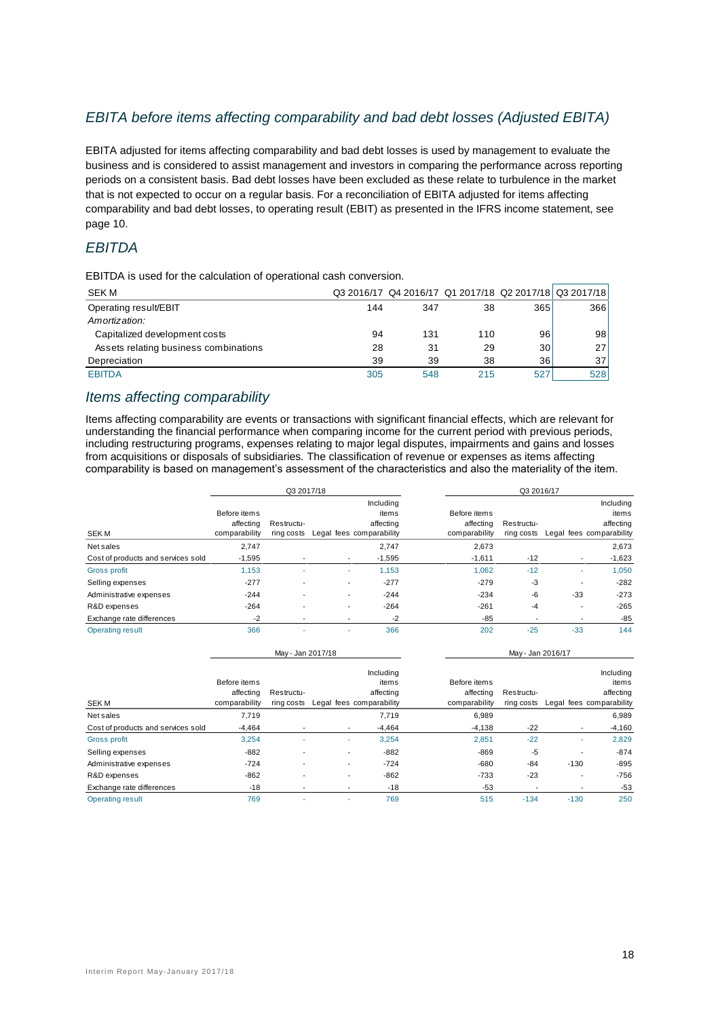## *EBITA before items affecting comparability and bad debt losses (Adjusted EBITA)*

EBITA adjusted for items affecting comparability and bad debt losses is used by management to evaluate the business and is considered to assist management and investors in comparing the performance across reporting periods on a consistent basis. Bad debt losses have been excluded as these relate to turbulence in the market that is not expected to occur on a regular basis. For a reconciliation of EBITA adjusted for items affecting comparability and bad debt losses, to operating result (EBIT) as presented in the IFRS income statement, see page 10.

## *EBITDA*

EBITDA is used for the calculation of operational cash conversion.

| SEK M                                 |     |     |     |                 | Q3 2016/17 Q4 2016/17 Q1 2017/18 Q2 2017/18 Q3 2017/18 |
|---------------------------------------|-----|-----|-----|-----------------|--------------------------------------------------------|
| Operating result/EBIT                 | 144 | 347 | 38  | 365             | 366                                                    |
| Amortization:                         |     |     |     |                 |                                                        |
| Capitalized development costs         | 94  | 131 | 110 | 96              | 98                                                     |
| Assets relating business combinations | 28  | 31  | 29  | 30              | 271                                                    |
| Depreciation                          | 39  | 39  | 38  | 36 <sub>1</sub> | 37 I                                                   |
| <b>EBITDA</b>                         | 305 | 548 | 215 | 527             | 5281                                                   |

## *Items affecting comparability*

Items affecting comparability are events or transactions with significant financial effects, which are relevant for understanding the financial performance when comparing income for the current period with previous periods, including restructuring programs, expenses relating to major legal disputes, impairments and gains and losses from acquisitions or disposals of subsidiaries*.* The classification of revenue or expenses as items affecting comparability is based on management's assessment of the characteristics and also the materiality of the item.

|                                    |                                            | Q3 2017/18               |                          |                                 |                                            | Q3 2016/17               |                          |                                 |
|------------------------------------|--------------------------------------------|--------------------------|--------------------------|---------------------------------|--------------------------------------------|--------------------------|--------------------------|---------------------------------|
| <b>SEKM</b>                        | Before items<br>affecting<br>comparability | Restructu-<br>ring costs | Legal fees comparability | Including<br>items<br>affecting | Before items<br>affecting<br>comparability | Restructu-<br>ring costs | Legal fees comparability | Including<br>items<br>affecting |
| Net sales                          | 2,747                                      |                          |                          | 2,747                           | 2,673                                      |                          |                          | 2,673                           |
| Cost of products and services sold | $-1,595$                                   |                          |                          | $-1,595$                        | $-1,611$                                   | $-12$                    |                          | $-1,623$                        |
| <b>Gross profit</b>                | 1,153                                      |                          |                          | 1.153                           | 1,062                                      | $-12$                    |                          | 1,050                           |
| Selling expenses                   | $-277$                                     |                          | -                        | $-277$                          | $-279$                                     | -3                       | $\overline{a}$           | $-282$                          |
| Administrative expenses            | $-244$                                     |                          |                          | $-244$                          | $-234$                                     | -6                       | $-33$                    | $-273$                          |
| R&D expenses                       | $-264$                                     |                          |                          | $-264$                          | $-261$                                     | -4                       |                          | $-265$                          |
| Exchange rate differences          | $-2$                                       |                          |                          | $-2$                            | -85                                        | $\overline{\phantom{a}}$ |                          | $-85$                           |
| <b>Operating result</b>            | 366                                        |                          |                          | 366                             | 202                                        | $-25$                    | $-33$                    | 144                             |

|                                    | May - Jan 2017/18                          |                          |   | May - Jan 2016/17                                           |                                            |                          |                          |                                                             |
|------------------------------------|--------------------------------------------|--------------------------|---|-------------------------------------------------------------|--------------------------------------------|--------------------------|--------------------------|-------------------------------------------------------------|
| <b>SEKM</b>                        | Before items<br>affecting<br>comparability | Restructu-<br>ring costs |   | Including<br>items<br>affecting<br>Legal fees comparability | Before items<br>affecting<br>comparability | Restructu-<br>ring costs |                          | Including<br>items<br>affecting<br>Legal fees comparability |
| Net sales                          | 7,719                                      |                          |   | 7,719                                                       | 6,989                                      |                          |                          | 6,989                                                       |
| Cost of products and services sold | $-4,464$                                   |                          |   | $-4,464$                                                    | $-4,138$                                   | $-22$                    | $\overline{\phantom{a}}$ | $-4,160$                                                    |
| Gross profit                       | 3.254                                      | $\overline{\phantom{a}}$ | ۰ | 3.254                                                       | 2.851                                      | $-22$                    | ٠                        | 2,829                                                       |
| Selling expenses                   | $-882$                                     |                          |   | $-882$                                                      | $-869$                                     | -5                       |                          | $-874$                                                      |
| Administrative expenses            | $-724$                                     |                          |   | $-724$                                                      | $-680$                                     | -84                      | $-130$                   | $-895$                                                      |
| R&D expenses                       | $-862$                                     |                          |   | $-862$                                                      | $-733$                                     | $-23$                    |                          | $-756$                                                      |
| Exchange rate differences          | $-18$                                      |                          |   | $-18$                                                       | $-53$                                      |                          |                          | $-53$                                                       |
| <b>Operating result</b>            | 769                                        |                          |   | 769                                                         | 515                                        | $-134$                   | $-130$                   | 250                                                         |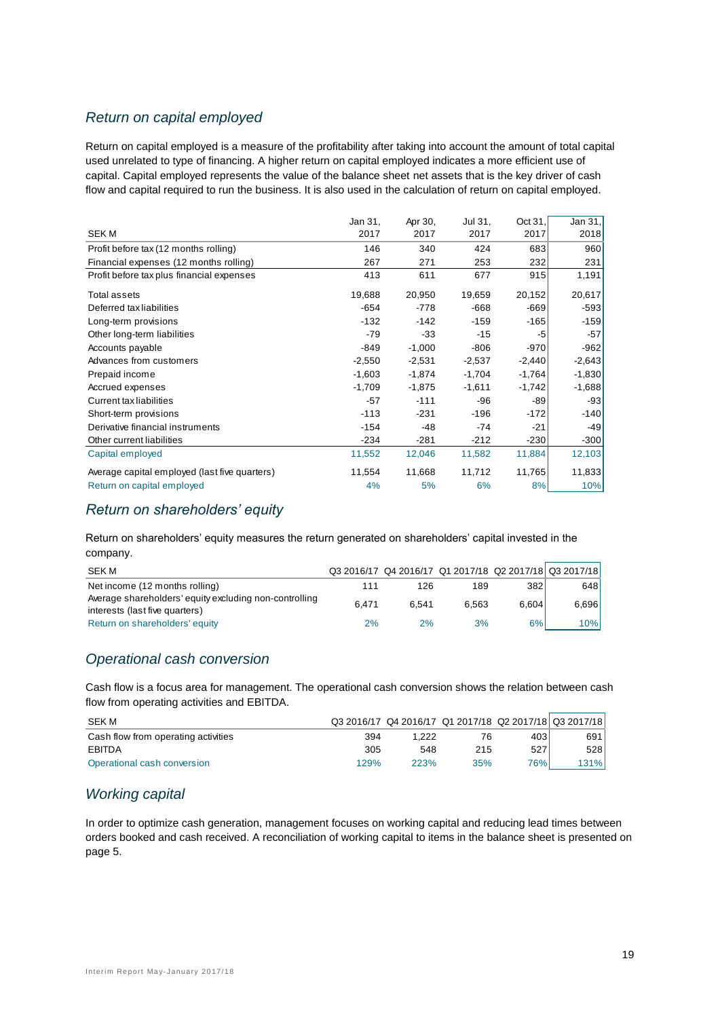## *Return on capital employed*

Return on capital employed is a measure of the profitability after taking into account the amount of total capital used unrelated to type of financing. A higher return on capital employed indicates a more efficient use of capital. Capital employed represents the value of the balance sheet net assets that is the key driver of cash flow and capital required to run the business. It is also used in the calculation of return on capital employed.

|                                               | Jan 31,  | Apr 30,  | Jul 31,  | Oct 31,  | Jan 31,  |
|-----------------------------------------------|----------|----------|----------|----------|----------|
| <b>SEKM</b>                                   | 2017     | 2017     | 2017     | 2017     | 2018     |
| Profit before tax (12 months rolling)         | 146      | 340      | 424      | 683      | 960      |
| Financial expenses (12 months rolling)        | 267      | 271      | 253      | 232      | 231      |
| Profit before tax plus financial expenses     | 413      | 611      | 677      | 915      | 1,191    |
| Total assets                                  | 19,688   | 20,950   | 19,659   | 20,152   | 20,617   |
| Deferred tax liabilities                      | $-654$   | $-778$   | $-668$   | $-669$   | $-593$   |
| Long-term provisions                          | $-132$   | $-142$   | $-159$   | $-165$   | $-159$   |
| Other long-term liabilities                   | $-79$    | -33      | $-15$    | -5       | $-57$    |
| Accounts payable                              | $-849$   | $-1,000$ | $-806$   | $-970$   | $-962$   |
| Advances from customers                       | $-2,550$ | $-2,531$ | $-2,537$ | $-2,440$ | $-2,643$ |
| Prepaid income                                | $-1,603$ | $-1,874$ | $-1,704$ | $-1,764$ | $-1,830$ |
| Accrued expenses                              | $-1,709$ | $-1,875$ | $-1,611$ | $-1,742$ | $-1,688$ |
| <b>Current tax liabilities</b>                | $-57$    | $-111$   | -96      | -89      | $-93$    |
| Short-term provisions                         | $-113$   | $-231$   | $-196$   | $-172$   | $-140$   |
| Derivative financial instruments              | $-154$   | $-48$    | $-74$    | $-21$    | $-49$    |
| Other current liabilities                     | $-234$   | $-281$   | $-212$   | $-230$   | $-300$   |
| Capital employed                              | 11,552   | 12,046   | 11,582   | 11,884   | 12,103   |
| Average capital employed (last five quarters) | 11,554   | 11,668   | 11,712   | 11,765   | 11,833   |
| Return on capital employed                    | 4%       | 5%       | 6%       | 8%       | 10%      |
|                                               |          |          |          |          |          |

## *Return on shareholders' equity*

Return on shareholders' equity measures the return generated on shareholders' capital invested in the company.

| SEK M                                                                                    |       |       | Q3 2016/17 Q4 2016/17 Q1 2017/18 Q2 2017/18 Q3 2017/18 |       |       |
|------------------------------------------------------------------------------------------|-------|-------|--------------------------------------------------------|-------|-------|
| Net income (12 months rolling)                                                           | 111   | 126   | 189                                                    | 382   | 648   |
| Average shareholders' equity excluding non-controlling<br>interests (last five quarters) | 6.471 | 6.541 | 6.563                                                  | 6.604 | 6.696 |
| Return on shareholders' equity                                                           | 2%    | 2%    | 3%                                                     | 6%I   | 10%   |

## *Operational cash conversion*

Cash flow is a focus area for management. The operational cash conversion shows the relation between cash flow from operating activities and EBITDA.

| <b>SEK M</b>                        |      |       |     |            | Q3 2016/17 Q4 2016/17 Q1 2017/18 Q2 2017/18 Q3 2017/18 |
|-------------------------------------|------|-------|-----|------------|--------------------------------------------------------|
| Cash flow from operating activities | 394  | 1.222 | 76  | 403        | 691                                                    |
| EBITDA                              | 305  | 548   | 215 | 527        | 528                                                    |
| Operational cash conversion         | 129% | 223%  | 35% | <b>76%</b> | 131%                                                   |

## *Working capital*

In order to optimize cash generation, management focuses on working capital and reducing lead times between orders booked and cash received. A reconciliation of working capital to items in the balance sheet is presented on page 5.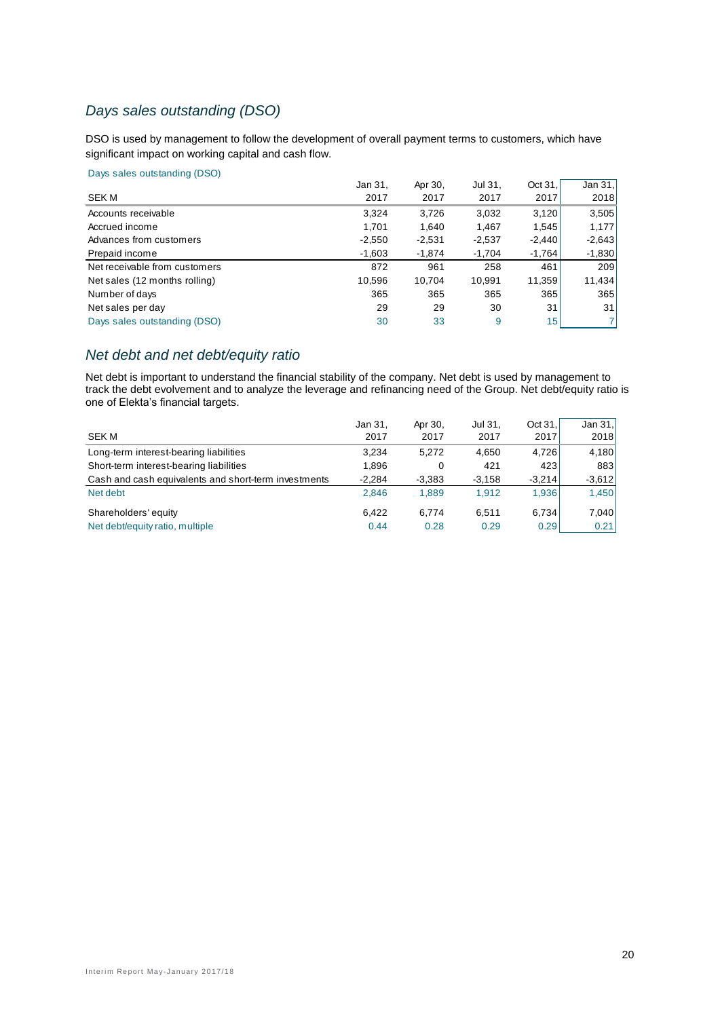## *Days sales outstanding (DSO)*

DSO is used by management to follow the development of overall payment terms to customers, which have significant impact on working capital and cash flow.

#### Days sales outstanding (DSO)

|                               | Jan 31,  | Apr 30,  | Jul 31,  | Oct 31.         | Jan $31.$ |
|-------------------------------|----------|----------|----------|-----------------|-----------|
| SEK M                         | 2017     | 2017     | 2017     | 2017            | 2018      |
| Accounts receivable           | 3,324    | 3.726    | 3,032    | 3,120           | 3,505     |
| Accrued income                | 1.701    | 1.640    | 1,467    | 1,545           | 1,177     |
| Advances from customers       | $-2,550$ | $-2,531$ | $-2,537$ | $-2,440$        | $-2,643$  |
| Prepaid income                | $-1,603$ | -1,874   | $-1,704$ | $-1,764$        | $-1,830$  |
| Net receivable from customers | 872      | 961      | 258      | 461             | 209       |
| Net sales (12 months rolling) | 10,596   | 10,704   | 10,991   | 11,359          | 11,434    |
| Number of days                | 365      | 365      | 365      | 365             | 365       |
| Net sales per day             | 29       | 29       | 30       | 31              | 31        |
| Days sales outstanding (DSO)  | 30       | 33       | 9        | 15 <sup>1</sup> | 71        |
|                               |          |          |          |                 |           |

## *Net debt and net debt/equity ratio*

Net debt is important to understand the financial stability of the company. Net debt is used by management to track the debt evolvement and to analyze the leverage and refinancing need of the Group. Net debt/equity ratio is one of Elekta's financial targets.

|                                                      | Jan 31,  | Apr 30.  | Jul 31,  | Oct 31.  | Jan $31$ . |
|------------------------------------------------------|----------|----------|----------|----------|------------|
| SEK M                                                | 2017     | 2017     | 2017     | 2017     | 2018       |
| Long-term interest-bearing liabilities               | 3.234    | 5.272    | 4.650    | 4.726    | 4,180      |
| Short-term interest-bearing liabilities              | 1.896    | 0        | 421      | 423      | 883        |
| Cash and cash equivalents and short-term investments | $-2.284$ | $-3,383$ | $-3,158$ | $-3.214$ | $-3,612$   |
| Net debt                                             | 2.846    | 1.889    | 1.912    | 1,936    | 1,450      |
| Shareholders' equity                                 | 6.422    | 6.774    | 6.511    | 6.734    | 7,040      |
| Net debt/equity ratio, multiple                      | 0.44     | 0.28     | 0.29     | 0.29     | 0.21       |